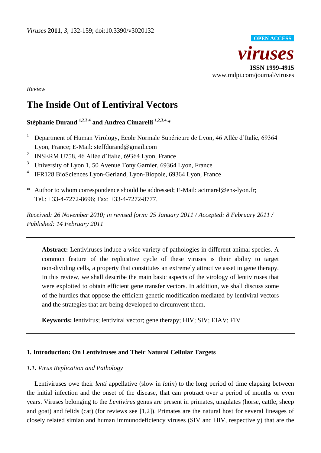

*Review*

# **The Inside Out of Lentiviral Vectors**

# **Stéphanie Durand 1,2,3,4 and Andrea Cimarelli 1,2,3,4,\***

- <sup>1</sup> Department of Human Virology, Ecole Normale Supérieure de Lyon, 46 Allée d'Italie, 69364 Lyon, France; E-Mail: steffdurand@gmail.com
- 2 INSERM U758, 46 Allée d'Italie, 69364 Lyon, France
- <sup>3</sup> University of Lyon 1, 50 Avenue Tony Garnier, 69364 Lyon, France
- 4 IFR128 BioSciences Lyon-Gerland, Lyon-Biopole, 69364 Lyon, France
- \* Author to whom correspondence should be addressed; E-Mail: acimarel@ens-lyon.fr; Tel.: +33-4-7272-8696; Fax: +33-4-7272-8777.

*Received: 26 November 2010; in revised form: 25 January 2011 / Accepted: 8 February 2011 / Published: 14 February 2011*

**Abstract:** Lentiviruses induce a wide variety of pathologies in different animal species. A common feature of the replicative cycle of these viruses is their ability to target non-dividing cells, a property that constitutes an extremely attractive asset in gene therapy. In this review, we shall describe the main basic aspects of the virology of lentiviruses that were exploited to obtain efficient gene transfer vectors. In addition, we shall discuss some of the hurdles that oppose the efficient genetic modification mediated by lentiviral vectors and the strategies that are being developed to circumvent them.

**Keywords:** lentivirus; lentiviral vector; gene therapy; HIV; SIV; EIAV; FIV

#### **1. Introduction: On Lentiviruses and Their Natural Cellular Targets**

#### *1.1. Virus Replication and Pathology*

Lentiviruses owe their *lenti* appellative (slow in *latin*) to the long period of time elapsing between the initial infection and the onset of the disease, that can protract over a period of months or even years. Viruses belonging to the *Lentivirus* genus are present in primates, ungulates (horse, cattle, sheep and goat) and felids (cat) (for reviews see [1,2]). Primates are the natural host for several lineages of closely related simian and human immunodeficiency viruses (SIV and HIV, respectively) that are the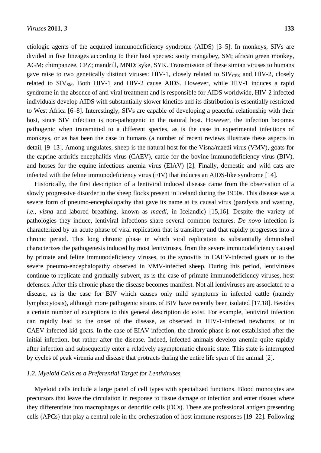etiologic agents of the acquired immunodeficiency syndrome (AIDS) [3–5]. In monkeys, SIVs are divided in five lineages according to their host species: sooty mangabey, SM; african green monkey, AGM; chimpanzee, CPZ; mandrill, MND; syke, SYK. Transmission of these simian viruses to humans gave raise to two genetically distinct viruses: HIV-1, closely related to  $\text{SIV}_{\text{CPZ}}$  and HIV-2, closely related to  $SIV<sub>SM</sub>$ . Both HIV-1 and HIV-2 cause AIDS. However, while HIV-1 induces a rapid syndrome in the absence of anti viral treatment and is responsible for AIDS worldwide, HIV-2 infected individuals develop AIDS with substantially slower kinetics and its distribution is essentially restricted to West Africa [6–8]. Interestingly, SIVs are capable of developing a peaceful relationship with their host, since SIV infection is non-pathogenic in the natural host. However, the infection becomes pathogenic when transmitted to a different species, as is the case in experimental infections of monkeys, or as has been the case in humans (a number of recent reviews illustrate these aspects in detail, [9–13]. Among ungulates, sheep is the natural host for the Visna/maedi virus (VMV), goats for the caprine arthritis-encephalitis virus (CAEV), cattle for the bovine immunodeficiency virus (BIV), and horses for the equine infectious anemia virus (EIAV) [2]. Finally, domestic and wild cats are infected with the feline immunodeficiency virus (FIV) that induces an AIDS-like syndrome [14].

Historically, the first description of a lentiviral induced disease came from the observation of a slowly progressive disorder in the sheep flocks present in Iceland during the 1950s. This disease was a severe form of pneumo-encephalopathy that gave its name at its causal virus (paralysis and wasting, *i.e.*, *visna* and labored breathing, known as *maedi*, in Icelandic) [15,16]. Despite the variety of pathologies they induce, lentiviral infections share several common features. *De novo* infection is characterized by an acute phase of viral replication that is transitory and that rapidly progresses into a chronic period. This long chronic phase in which viral replication is substantially diminished characterizes the pathogenesis induced by most lentiviruses, from the severe immunodeficiency caused by primate and feline immunodeficiency viruses, to the synovitis in CAEV-infected goats or to the severe pneumo-encephalopathy observed in VMV-infected sheep. During this period, lentiviruses continue to replicate and gradually subvert, as is the case of primate immunodeficiency viruses, host defenses. After this chronic phase the disease becomes manifest. Not all lentiviruses are associated to a disease, as is the case for BIV which causes only mild symptoms in infected cattle (namely lymphocytosis), although more pathogenic strains of BIV have recently been isolated [17,18]. Besides a certain number of exceptions to this general description do exist. For example, lentiviral infection can rapidly lead to the onset of the disease, as observed in HIV-1-infected newborns, or in CAEV-infected kid goats. In the case of EIAV infection, the chronic phase is not established after the initial infection, but rather after the disease. Indeed, infected animals develop anemia quite rapidly after infection and subsequently enter a relatively asymptomatic chronic state. This state is interrupted by cycles of peak viremia and disease that protracts during the entire life span of the animal [2].

#### *1.2. Myeloid Cells as a Preferential Target for Lentiviruses*

Myeloid cells include a large panel of cell types with specialized functions. Blood monocytes are precursors that leave the circulation in response to tissue damage or infection and enter tissues where they differentiate into macrophages or dendritic cells (DCs). These are professional antigen presenting cells (APCs) that play a central role in the orchestration of host immune responses [19–22]. Following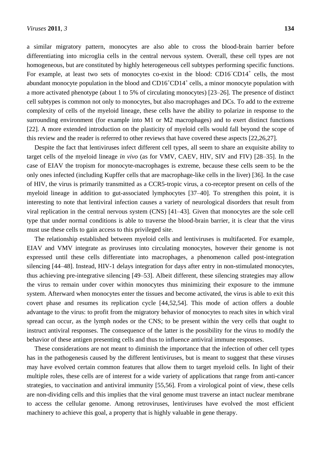a similar migratory pattern, monocytes are also able to cross the blood-brain barrier before differentiating into microglia cells in the central nervous system. Overall, these cell types are not homogeneous, but are constituted by highly heterogeneous cell subtypes performing specific functions. For example, at least two sets of monocytes co-exist in the blood: CD16<sup>-</sup>CD14<sup>+</sup> cells, the most abundant monocyte population in the blood and CD16<sup>+</sup>CD14<sup>+</sup> cells, a minor monocyte population with a more activated phenotype (about 1 to 5% of circulating monocytes) [23–26]. The presence of distinct cell subtypes is common not only to monocytes, but also macrophages and DCs. To add to the extreme complexity of cells of the myeloid lineage, these cells have the ability to polarize in response to the surrounding environment (for example into M1 or M2 macrophages) and to exert distinct functions [22]. A more extended introduction on the plasticity of myeloid cells would fall beyond the scope of this review and the reader is referred to other reviews that have covered these aspects [22,26,27].

Despite the fact that lentiviruses infect different cell types, all seem to share an exquisite ability to target cells of the myeloid lineage *in vivo* (as for VMV, CAEV, HIV, SIV and FIV) [28–35]. In the case of EIAV the tropism for monocyte-macrophages is extreme, because these cells seem to be the only ones infected (including Kupffer cells that are macrophage-like cells in the liver) [36]. In the case of HIV, the virus is primarily transmitted as a CCR5-tropic virus, a co-receptor present on cells of the myeloid lineage in addition to gut-associated lymphocytes [37–40]. To strengthen this point, it is interesting to note that lentiviral infection causes a variety of neurological disorders that result from viral replication in the central nervous system (CNS) [41–43]. Given that monocytes are the sole cell type that under normal conditions is able to traverse the blood-brain barrier, it is clear that the virus must use these cells to gain access to this privileged site.

The relationship established between myeloid cells and lentiviruses is multifaceted. For example, EIAV and VMV integrate as proviruses into circulating monocytes, however their genome is not expressed until these cells differentiate into macrophages, a phenomenon called post-integration silencing [44–48]. Instead, HIV-1 delays integration for days after entry in non-stimulated monocytes, thus achieving pre-integrative silencing [49–53]. Albeit different, these silencing strategies may allow the virus to remain under cover within monocytes thus minimizing their exposure to the immune system. Afterward when monocytes enter the tissues and become activated, the virus is able to exit this covert phase and resumes its replication cycle [44,52,54]. This mode of action offers a double advantage to the virus: to profit from the migratory behavior of monocytes to reach sites in which viral spread can occur, as the lymph nodes or the CNS; to be present within the very cells that ought to instruct antiviral responses. The consequence of the latter is the possibility for the virus to modify the behavior of these antigen presenting cells and thus to influence antiviral immune responses.

These considerations are not meant to diminish the importance that the infection of other cell types has in the pathogenesis caused by the different lentiviruses, but is meant to suggest that these viruses may have evolved certain common features that allow them to target myeloid cells. In light of their multiple roles, these cells are of interest for a wide variety of applications that range from anti-cancer strategies, to vaccination and antiviral immunity [55,56]. From a virological point of view, these cells are non-dividing cells and this implies that the viral genome must traverse an intact nuclear membrane to access the cellular genome. Among retroviruses, lentiviruses have evolved the most efficient machinery to achieve this goal, a property that is highly valuable in gene therapy.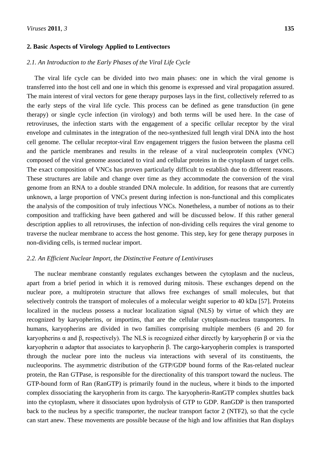#### **2. Basic Aspects of Virology Applied to Lentivectors**

#### *2.1. An Introduction to the Early Phases of the Viral Life Cycle*

The viral life cycle can be divided into two main phases: one in which the viral genome is transferred into the host cell and one in which this genome is expressed and viral propagation assured. The main interest of viral vectors for gene therapy purposes lays in the first, collectively referred to as the early steps of the viral life cycle. This process can be defined as gene transduction (in gene therapy) or single cycle infection (in virology) and both terms will be used here. In the case of retroviruses, the infection starts with the engagement of a specific cellular receptor by the viral envelope and culminates in the integration of the neo-synthesized full length viral DNA into the host cell genome. The cellular receptor-viral Env engagement triggers the fusion between the plasma cell and the particle membranes and results in the release of a viral nucleoprotein complex (VNC) composed of the viral genome associated to viral and cellular proteins in the cytoplasm of target cells. The exact composition of VNCs has proven particularly difficult to establish due to different reasons. These structures are labile and change over time as they accommodate the conversion of the viral genome from an RNA to a double stranded DNA molecule. In addition, for reasons that are currently unknown, a large proportion of VNCs present during infection is non-functional and this complicates the analysis of the composition of truly infectious VNCs. Nonetheless, a number of notions as to their composition and trafficking have been gathered and will be discussed below. If this rather general description applies to all retroviruses, the infection of non-dividing cells requires the viral genome to traverse the nuclear membrane to access the host genome. This step, key for gene therapy purposes in non-dividing cells, is termed nuclear import.

#### *2.2. An Efficient Nuclear Import, the Distinctive Feature of Lentiviruses*

The nuclear membrane constantly regulates exchanges between the cytoplasm and the nucleus, apart from a brief period in which it is removed during mitosis. These exchanges depend on the nuclear pore, a multiprotein structure that allows free exchanges of small molecules, but that selectively controls the transport of molecules of a molecular weight superior to 40 kDa [57]. Proteins localized in the nucleus possess a nuclear localization signal (NLS) by virtue of which they are recognized by karyopherins, or importins, that are the cellular cytoplasm-nucleus transporters. In humans, karyopherins are divided in two families comprising multiple members (6 and 20 for karyopherins α and β, respectively). The NLS is recognized either directly by karyopherin β or via the karyopherin α adaptor that associates to karyopherin β. The cargo-karyopherin complex is transported through the nuclear pore into the nucleus via interactions with several of its constituents, the nucleoporins. The asymmetric distribution of the GTP/GDP bound forms of the Ras-related nuclear protein, the Ran GTPase, is responsible for the directionality of this transport toward the nucleus. The GTP-bound form of Ran (RanGTP) is primarily found in the nucleus, where it binds to the imported complex dissociating the karyopherin from its cargo. The karyopherin-RanGTP complex shuttles back into the cytoplasm, where it dissociates upon hydrolysis of GTP to GDP. RanGDP is then transported back to the nucleus by a specific transporter, the nuclear transport factor 2 (NTF2), so that the cycle can start anew. These movements are possible because of the high and low affinities that Ran displays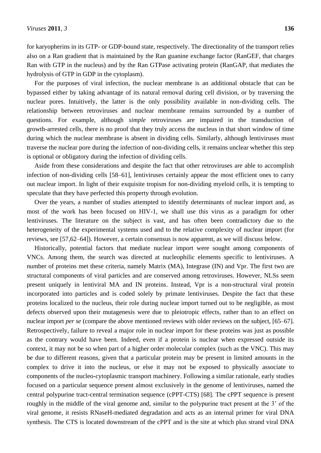for karyopherins in its GTP- or GDP-bound state, respectively. The directionality of the transport relies also on a Ran gradient that is maintained by the Ran guanine exchange factor (RanGEF, that charges Ran with GTP in the nucleus) and by the Ran GTPase activating protein (RanGAP, that mediates the hydrolysis of GTP in GDP in the cytoplasm).

For the purposes of viral infection, the nuclear membrane is an additional obstacle that can be bypassed either by taking advantage of its natural removal during cell division, or by traversing the nuclear pores. Intuitively, the latter is the only possibility available in non-dividing cells. The relationship between retroviruses and nuclear membrane remains surrounded by a number of questions. For example, although *simple* retroviruses are impaired in the transduction of growth-arrested cells, there is no proof that they truly access the nucleus in that short window of time during which the nuclear membrane is absent in dividing cells. Similarly, although lentiviruses must traverse the nuclear pore during the infection of non-dividing cells, it remains unclear whether this step is optional or obligatory during the infection of dividing cells.

Aside from these considerations and despite the fact that other retroviruses are able to accomplish infection of non-dividing cells [58–61], lentiviruses certainly appear the most efficient ones to carry out nuclear import. In light of their exquisite tropism for non-dividing myeloid cells, it is tempting to speculate that they have perfected this property through evolution.

Over the years, a number of studies attempted to identify determinants of nuclear import and, as most of the work has been focused on HIV-1, we shall use this virus as a paradigm for other lentiviruses. The literature on the subject is vast, and has often been contradictory due to the heterogeneity of the experimental systems used and to the relative complexity of nuclear import (for reviews, see [57,62–64]). However, a certain consensus is now apparent, as we will discuss below.

Historically, potential factors that mediate nuclear import were sought among components of VNCs. Among them, the search was directed at nucleophilic elements specific to lentiviruses. A number of proteins met these criteria, namely Matrix (MA), Integrase (IN) and Vpr. The first two are structural components of viral particles and are conserved among retroviruses. However, NLSs seem present uniquely in lentiviral MA and IN proteins. Instead, Vpr is a non-structural viral protein incorporated into particles and is coded solely by primate lentiviruses. Despite the fact that these proteins localized to the nucleus, their role during nuclear import turned out to be negligible, as most defects observed upon their mutagenesis were due to pleiotropic effects, rather than to an effect on nuclear import *per se* (compare the above mentioned reviews with older reviews on the subject, [65–67]. Retrospectively, failure to reveal a major role in nuclear import for these proteins was just as possible as the contrary would have been. Indeed, even if a protein is nuclear when expressed outside its context, it may not be so when part of a higher order molecular complex (such as the VNC). This may be due to different reasons, given that a particular protein may be present in limited amounts in the complex to drive it into the nucleus, or else it may not be exposed to physically associate to components of the nucleo-cytoplasmic transport machinery. Following a similar rationale, early studies focused on a particular sequence present almost exclusively in the genome of lentiviruses, named the central polypurine tract-central termination sequence (cPPT-CTS) [68]. The cPPT sequence is present roughly in the middle of the viral genome and, similar to the polypurine tract present at the 3' of the viral genome, it resists RNaseH-mediated degradation and acts as an internal primer for viral DNA synthesis. The CTS is located downstream of the cPPT and is the site at which plus strand viral DNA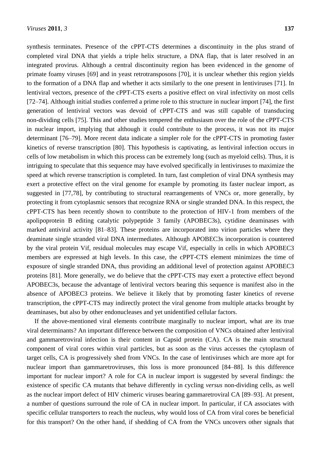synthesis terminates. Presence of the cPPT-CTS determines a discontinuity in the plus strand of completed viral DNA that yields a triple helix structure, a DNA flap, that is later resolved in an integrated provirus. Although a central discontinuity region has been evidenced in the genome of primate foamy viruses [69] and in yeast retrotransposons [70], it is unclear whether this region yields to the formation of a DNA flap and whether it acts similarly to the one present in lentiviruses [71]. In lentiviral vectors, presence of the cPPT-CTS exerts a positive effect on viral infectivity on most cells [72–74]. Although initial studies conferred a prime role to this structure in nuclear import [74], the first generation of lentiviral vectors was devoid of cPPT-CTS and was still capable of transducing non-dividing cells [75]. This and other studies tempered the enthusiasm over the role of the cPPT-CTS in nuclear import, implying that although it could contribute to the process, it was not its major determinant [76–79]. More recent data indicate a simpler role for the cPPT-CTS in promoting faster kinetics of reverse transcription [80]. This hypothesis is captivating, as lentiviral infection occurs in cells of low metabolism in which this process can be extremely long (such as myeloid cells). Thus, it is intriguing to speculate that this sequence may have evolved specifically in lentiviruses to maximize the speed at which reverse transcription is completed. In turn, fast completion of viral DNA synthesis may exert a protective effect on the viral genome for example by promoting its faster nuclear import, as suggested in [77,78], by contributing to structural rearrangements of VNCs or, more generally, by protecting it from cytoplasmic sensors that recognize RNA or single stranded DNA. In this respect, the cPPT-CTS has been recently shown to contribute to the protection of HIV-1 from members of the apolipoprotein B editing catalytic polypeptide 3 family (APOBEC3s), cytidine deaminases with marked antiviral activity [81–83]. These proteins are incorporated into virion particles where they deaminate single stranded viral DNA intermediates. Although APOBEC3s incorporation is countered by the viral protein Vif, residual molecules may escape Vif, especially in cells in which APOBEC3 members are expressed at high levels. In this case, the cPPT-CTS element minimizes the time of exposure of single stranded DNA, thus providing an additional level of protection against APOBEC3 proteins [81]. More generally, we do believe that the cPPT-CTS may exert a protective effect beyond APOBEC3s, because the advantage of lentiviral vectors bearing this sequence is manifest also in the absence of APOBEC3 proteins. We believe it likely that by promoting faster kinetics of reverse transcription, the cPPT-CTS may indirectly protect the viral genome from multiple attacks brought by deaminases, but also by other endonucleases and yet unidentified cellular factors.

If the above-mentioned viral elements contribute marginally to nuclear import, what are its true viral determinants? An important difference between the composition of VNCs obtained after lentiviral and gammaretroviral infection is their content in Capsid protein (CA). CA is the main structural component of viral cores within viral particles, but as soon as the virus accesses the cytoplasm of target cells, CA is progressively shed from VNCs. In the case of lentiviruses which are more apt for nuclear import than gammaretroviruses, this loss is more pronounced [84–88]. Is this difference important for nuclear import? A role for CA in nuclear import is suggested by several findings: the existence of specific CA mutants that behave differently in cycling *versus* non-dividing cells, as well as the nuclear import defect of HIV chimeric viruses bearing gammaretroviral CA [89–93]. At present, a number of questions surround the role of CA in nuclear import. In particular, if CA associates with specific cellular transporters to reach the nucleus, why would loss of CA from viral cores be beneficial for this transport? On the other hand, if shedding of CA from the VNCs uncovers other signals that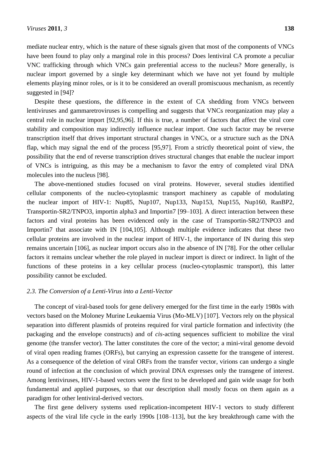mediate nuclear entry, which is the nature of these signals given that most of the components of VNCs have been found to play only a marginal role in this process? Does lentiviral CA promote a peculiar VNC trafficking through which VNCs gain preferential access to the nucleus? More generally, is nuclear import governed by a single key determinant which we have not yet found by multiple elements playing minor roles, or is it to be considered an overall promiscuous mechanism, as recently suggested in [94]?

Despite these questions, the difference in the extent of CA shedding from VNCs between lentiviruses and gammaretroviruses is compelling and suggests that VNCs reorganization may play a central role in nuclear import [92,95,96]. If this is true, a number of factors that affect the viral core stability and composition may indirectly influence nuclear import. One such factor may be reverse transcription itself that drives important structural changes in VNCs, or a structure such as the DNA flap, which may signal the end of the process [95,97]. From a strictly theoretical point of view, the possibility that the end of reverse transcription drives structural changes that enable the nuclear import of VNCs is intriguing, as this may be a mechanism to favor the entry of completed viral DNA molecules into the nucleus [98].

The above-mentioned studies focused on viral proteins. However, several studies identified cellular components of the nucleo-cytoplasmic transport machinery as capable of modulating the nuclear import of HIV-1: Nup85, Nup107, Nup133, Nup153, Nup155, Nup160, RanBP2, Transportin-SR2/TNPO3, importin alpha3 and Importin7 [99–103]. A direct interaction between these factors and viral proteins has been evidenced only in the case of Transportin-SR2/TNPO3 and Importin7 that associate with IN [104,105]. Although multiple evidence indicates that these two cellular proteins are involved in the nuclear import of HIV-1, the importance of IN during this step remains uncertain [106], as nuclear import occurs also in the absence of IN [78]. For the other cellular factors it remains unclear whether the role played in nuclear import is direct or indirect. In light of the functions of these proteins in a key cellular process (nucleo-cytoplasmic transport), this latter possibility cannot be excluded.

#### *2.3. The Conversion of a Lenti-Virus into a Lenti-Vector*

The concept of viral-based tools for gene delivery emerged for the first time in the early 1980s with vectors based on the Moloney Murine Leukaemia Virus (Mo-MLV) [107]. Vectors rely on the physical separation into different plasmids of proteins required for viral particle formation and infectivity (the packaging and the envelope constructs) and of *cis*-acting sequences sufficient to mobilize the viral genome (the transfer vector). The latter constitutes the core of the vector; a mini-viral genome devoid of viral open reading frames (ORFs), but carrying an expression cassette for the transgene of interest. As a consequence of the deletion of viral ORFs from the transfer vector, virions can undergo a single round of infection at the conclusion of which proviral DNA expresses only the transgene of interest. Among lentiviruses, HIV-1-based vectors were the first to be developed and gain wide usage for both fundamental and applied purposes, so that our description shall mostly focus on them again as a paradigm for other lentiviral-derived vectors.

The first gene delivery systems used replication-incompetent HIV-1 vectors to study different aspects of the viral life cycle in the early 1990s [108–113], but the key breakthrough came with the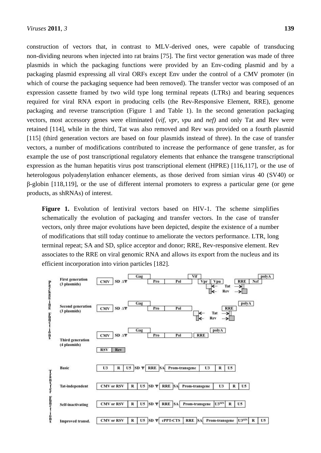construction of vectors that, in contrast to MLV-derived ones, were capable of transducing non-dividing neurons when injected into rat brains [75]. The first vector generation was made of three plasmids in which the packaging functions were provided by an Env-coding plasmid and by a packaging plasmid expressing all viral ORFs except Env under the control of a CMV promoter (in which of course the packaging sequence had been removed). The transfer vector was composed of an expression cassette framed by two wild type long terminal repeats (LTRs) and bearing sequences required for viral RNA export in producing cells (the Rev-Responsive Element, RRE), genome packaging and reverse transcription (Figure 1 and Table 1). In the second generation packaging vectors, most accessory genes were eliminated (*vif*, *vpr*, *vpu* and *nef)* and only Tat and Rev were retained [114], while in the third, Tat was also removed and Rev was provided on a fourth plasmid [115] (third generation vectors are based on four plasmids instead of three). In the case of transfer vectors, a number of modifications contributed to increase the performance of gene transfer, as for example the use of post transcriptional regulatory elements that enhance the transgene transcriptional expression as the human hepatitis virus post transcriptional element (HPRE) [116,117], or the use of heterologous polyadenylation enhancer elements, as those derived from simian virus 40 (SV40) or β-globin [118,119], or the use of different internal promoters to express a particular gene (or gene products, as shRNAs) of interest.

Figure 1. Evolution of lentiviral vectors based on HIV-1. The scheme simplifies schematically the evolution of packaging and transfer vectors. In the case of transfer vectors, only three major evolutions have been depicted, despite the existence of a number of modifications that still today continue to ameliorate the vectors performance. LTR, long terminal repeat; SA and SD, splice acceptor and donor; RRE, Rev-responsive element. Rev associates to the RRE on viral genomic RNA and allows its export from the nucleus and its efficient incorporation into virion particles [182].

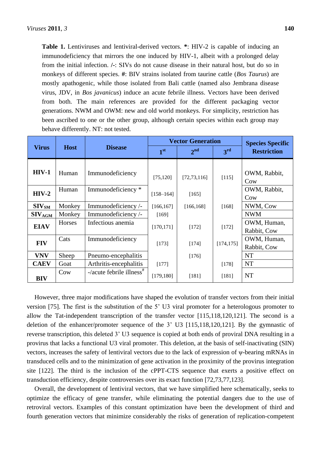**Table 1.** Lentiviruses and lentiviral-derived vectors. **\***: HIV-2 is capable of inducing an immunodeficiency that mirrors the one induced by HIV-1, albeit with a prolonged delay from the initial infection. **/-**: SIVs do not cause disease in their natural host, but do so in monkeys of different species. **#**: BIV strains isolated from taurine cattle (*Bos Taurus*) are mostly apathogenic, while those isolated from Bali cattle (named also Jembrana disease virus, JDV, in *Bos javanicus*) induce an acute febrile illness. Vectors have been derived from both. The main references are provided for the different packaging vector generations. NWM and OWM: new and old world monkeys. For simplicity, restriction has been ascribed to one or the other group, although certain species within each group may behave differently. NT: not tested.

|                    |             |                             | <b>Vector Generation</b> |               |                 | <b>Species Specific</b>    |
|--------------------|-------------|-----------------------------|--------------------------|---------------|-----------------|----------------------------|
| <b>Virus</b>       | <b>Host</b> | <b>Disease</b>              | 1 <sup>st</sup>          | $2^{nd}$      | 3 <sup>rd</sup> | <b>Restriction</b>         |
| $HIV-1$            | Human       | Immunodeficiency            | [75, 120]                | [72, 73, 116] | $[115]$         | OWM, Rabbit,<br>Cow        |
| $HIV-2$            | Human       | Immunodeficiency *          | $[158 - 164]$            | [165]         |                 | OWM, Rabbit,<br>Cow        |
| SIV <sub>SM</sub>  | Monkey      | Immunodeficiency/-          | [166, 167]               | [166, 168]    | [168]           | NWM, Cow                   |
| SIV <sub>AGM</sub> | Monkey      | Immunodeficiency/-          | [169]                    |               |                 | <b>NWM</b>                 |
| <b>EIAV</b>        | Horses      | Infectious anemia           | [170, 171]               | [172]         | $[172]$         | OWM, Human,<br>Rabbit, Cow |
| <b>FIV</b>         | Cats        | Immunodeficiency            | [173]                    | [174]         | [174, 175]      | OWM, Human,<br>Rabbit, Cow |
| <b>VNV</b>         | Sheep       | Pneumo-encephalitis         |                          | $[176]$       |                 | <b>NT</b>                  |
| <b>CAEV</b>        | Goat        | Arthritis-encephalitis      | $[177]$                  |               | [178]           | <b>NT</b>                  |
| <b>BIV</b>         | Cow         | -/acute febrile illness $*$ | [179, 180]               | $[181]$       | [181]           | NT                         |

However, three major modifications have shaped the evolution of transfer vectors from their initial version [75]. The first is the substitution of the 5' U3 viral promoter for a heterologous promoter to allow the Tat-independent transcription of the transfer vector [115,118,120,121]. The second is a deletion of the enhancer/promoter sequence of the 3' U3 [115,118,120,121]. By the gymnastic of reverse transcription, this deleted 3' U3 sequence is copied at both ends of proviral DNA resulting in a provirus that lacks a functional U3 viral promoter. This deletion, at the basis of self-inactivating (SIN) vectors, increases the safety of lentiviral vectors due to the lack of expression of ψ-bearing mRNAs in transduced cells and to the minimization of gene activation in the proximity of the provirus integration site [122]. The third is the inclusion of the cPPT-CTS sequence that exerts a positive effect on transduction efficiency, despite controversies over its exact function [72,73,77,123].

Overall, the development of lentiviral vectors, that we have simplified here schematically, seeks to optimize the efficacy of gene transfer, while eliminating the potential dangers due to the use of retroviral vectors. Examples of this constant optimization have been the development of third and fourth generation vectors that minimize considerably the risks of generation of replication-competent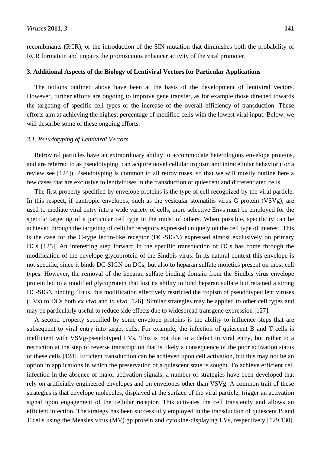recombinants (RCR), or the introduction of the SIN mutation that diminishes both the probability of RCR formation and impairs the promiscuous enhancer activity of the viral promoter.

#### **3. Additional Aspects of the Biology of Lentiviral Vectors for Particular Applications**

The notions outlined above have been at the basis of the development of lentiviral vectors. However, further efforts are ongoing to improve gene transfer, as for example those directed towards the targeting of specific cell types or the increase of the overall efficiency of transduction. These efforts aim at achieving the highest percentage of modified cells with the lowest viral input. Below, we will describe some of these ongoing efforts.

#### *3.1. Pseudotyping of Lentiviral Vectors*

Retroviral particles have an extraordinary ability to accommodate heterologous envelope proteins, and are referred to as pseudotyping, can acquire novel cellular tropism and intracellular behavior (for a review see [124]). Pseudotyping is common to all retroviruses, so that we will mostly outline here a few cases that are exclusive to lentiviruses in the transduction of quiescent and differentiated cells.

The first property specified by envelope proteins is the type of cell recognized by the viral particle. In this respect, if pantropic envelopes, such as the vesicular stomatitis virus G protein (VSVg), are used to mediate viral entry into a wide variety of cells, more selective Envs must be employed for the specific targeting of a particular cell type in the midst of others*.* When possible, specificity can be achieved through the targeting of cellular receptors expressed uniquely on the cell type of interest. This is the case for the C-type lectin-like receptor (DC-SIGN) expressed almost exclusively on primary DCs [125]. An interesting step forward in the specific transduction of DCs has come through the modification of the envelope glycoprotein of the Sindbis virus. In its natural context this envelope is not specific, since it binds DC-SIGN on DCs, but also to heparan sulfate moieties present on most cell types. However, the removal of the heparan sulfate binding domain from the Sindbis virus envelope protein led to a modified glycoprotein that lost its ability to bind heparan sulfate but retained a strong DC-SIGN binding. Thus, this modification effectively restricted the tropism of pseudotyped lentiviruses (LVs) to DCs both *ex vivo* and *in vivo* [126]. Similar strategies may be applied to other cell types and may be particularly useful to reduce side effects due to widespread transgene expression [127].

A second property specified by some envelope proteins is the ability to influence steps that are subsequent to viral entry into target cells. For example, the infection of quiescent B and T cells is inefficient with VSVg-pseudotyped LVs*.* This is not due to a defect in viral entry, but rather to a restriction at the step of reverse transcription that is likely a consequence of the poor activation status of these cells [128]. Efficient transduction can be achieved upon cell activation, but this may not be an option in applications in which the preservation of a quiescent state is sought. To achieve efficient cell infection in the absence of major activation signals, a number of strategies have been developed that rely on artificially engineered envelopes and on envelopes other than VSVg. A common trait of these strategies is that envelope molecules, displayed at the surface of the viral particle, trigger an activation signal upon engagement of the cellular receptor. This activates the cell transiently and allows an efficient infection. The strategy has been successfully employed in the transduction of quiescent B and T cells using the Measles virus (MV) gp protein and cytokine-displaying LVs, respectively [129,130].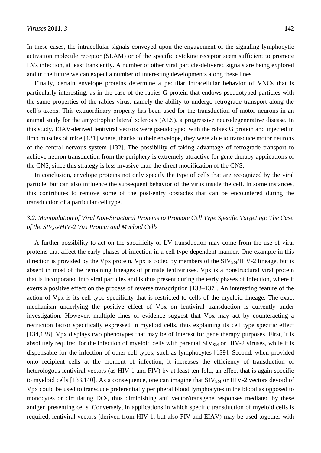In these cases, the intracellular signals conveyed upon the engagement of the signaling lymphocytic activation molecule receptor (SLAM) or of the specific cytokine receptor seem sufficient to promote LVs infection, at least transiently. A number of other viral particle-delivered signals are being explored and in the future we can expect a number of interesting developments along these lines.

Finally, certain envelope proteins determine a peculiar intracellular behavior of VNCs that is particularly interesting, as in the case of the rabies G protein that endows pseudotyped particles with the same properties of the rabies virus, namely the ability to undergo retrograde transport along the cell's axons. This extraordinary property has been used for the transduction of motor neurons in an animal study for the amyotrophic lateral sclerosis (ALS), a progressive neurodegenerative disease. In this study, EIAV-derived lentiviral vectors were pseudotyped with the rabies G protein and injected in limb muscles of mice [131] where, thanks to their envelope, they were able to transduce motor neurons of the central nervous system [132]. The possibility of taking advantage of retrograde transport to achieve neuron transduction from the periphery is extremely attractive for gene therapy applications of the CNS, since this strategy is less invasive than the direct modification of the CNS.

In conclusion, envelope proteins not only specify the type of cells that are recognized by the viral particle, but can also influence the subsequent behavior of the virus inside the cell. In some instances, this contributes to remove some of the post-entry obstacles that can be encountered during the transduction of a particular cell type.

# *3.2. Manipulation of Viral Non-Structural Proteins to Promote Cell Type Specific Targeting: The Case of the SIVSM/HIV-2 Vpx Protein and Myeloid Cells*

A further possibility to act on the specificity of LV transduction may come from the use of viral proteins that affect the early phases of infection in a cell type dependent manner. One example in this direction is provided by the Vpx protein. Vpx is coded by members of the  $\text{SIV}_{\text{SM}}/\text{HIV-2}$  lineage, but is absent in most of the remaining lineages of primate lentiviruses. Vpx is a nonstructural viral protein that is incorporated into viral particles and is thus present during the early phases of infection, where it exerts a positive effect on the process of reverse transcription [133–137]. An interesting feature of the action of Vpx is its cell type specificity that is restricted to cells of the myeloid lineage. The exact mechanism underlying the positive effect of Vpx on lentiviral transduction is currently under investigation. However, multiple lines of evidence suggest that Vpx may act by counteracting a restriction factor specifically expressed in myeloid cells, thus explaining its cell type specific effect [134,138]. Vpx displays two phenotypes that may be of interest for gene therapy purposes. First, it is absolutely required for the infection of myeloid cells with parental SIV<sub>SM</sub> or HIV-2 viruses, while it is dispensable for the infection of other cell types, such as lymphocytes [139]. Second, when provided onto recipient cells at the moment of infection, it increases the efficiency of transduction of heterologous lentiviral vectors (as HIV-1 and FIV) by at least ten-fold, an effect that is again specific to myeloid cells [133,140]. As a consequence, one can imagine that  $SIV<sub>SM</sub>$  or HIV-2 vectors devoid of Vpx could be used to transduce preferentially peripheral blood lymphocytes in the blood as opposed to monocytes or circulating DCs, thus diminishing anti vector/transgene responses mediated by these antigen presenting cells. Conversely, in applications in which specific transduction of myeloid cells is required, lentiviral vectors (derived from HIV-1, but also FIV and EIAV) may be used together with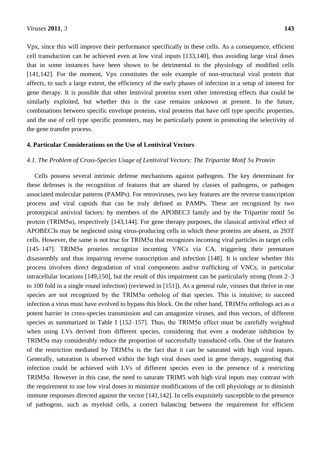Vpx, since this will improve their performance specifically in these cells. As a consequence, efficient cell transduction can be achieved even at low viral inputs [133,140], thus avoiding large viral doses that in some instances have been shown to be detrimental to the physiology of modified cells [141,142]. For the moment, Vpx constitutes the sole example of non-structural viral protein that affects, to such a large extent, the efficiency of the early phases of infection in a setup of interest for gene therapy. It is possible that other lentiviral proteins exert other interesting effects that could be similarly exploited, but whether this is the case remains unknown at present. In the future, combinations between specific envelope proteins, viral proteins that have cell type specific properties, and the use of cell type specific promoters, may be particularly potent in promoting the selectivity of the gene transfer process.

#### **4. Particular Considerations on the Use of Lentiviral Vectors**

#### *4.1. The Problem of Cross-Species Usage of Lentiviral Vectors: The Tripartite Motif 5α Protein*

Cells possess several intrinsic defense mechanisms against pathogens. The key determinant for these defenses is the recognition of features that are shared by classes of pathogens, or pathogen associated molecular patterns (PAMPs). For retroviruses, two key features are the reverse transcription process and viral capsids that can be truly defined as PAMPs. These are recognized by two prototypical antiviral factors: by members of the APOBEC3 family and by the Tripartite motif  $5\alpha$ protein (TRIM5 $\alpha$ ), respectively [143,144]. For gene therapy purposes, the classical antiviral effect of APOBEC3s may be neglected using virus-producing cells in which these proteins are absent, as 293T cells. However, the same is not true for TRIM5 $\alpha$  that recognizes incoming viral particles in target cells [ $145-147$ ]. TRIM5 $\alpha$  proteins recognize incoming VNCs via CA, triggering their premature disassembly and thus impairing reverse transcription and infection [148]. It is unclear whether this process involves direct degradation of viral components and/or trafficking of VNCs, in particular intracellular locations [149,150], but the result of this impairment can be particularly strong (from 2–3 to 100 fold in a single round infection) (reviewed in [151]). As a general rule, viruses that thrive in one species are not recognized by the TRIM5 $\alpha$  ortholog of that species. This is intuitive; to succeed infection a virus must have evolved to bypass this block. On the other hand, TRIM5α orthologs act as a potent barrier in cross-species transmission and can antagonize viruses, and thus vectors, of different species as summarized in Table I [152–157]. Thus, the TRIM5 $\alpha$  effect must be carefully weighted when using LVs derived from different species, considering that even a moderate inhibition by TRIM5α may considerably reduce the proportion of successfully transduced cells. One of the features of the restriction mediated by TRIM5 $\alpha$  is the fact that it can be saturated with high viral inputs. Generally, saturation is observed within the high viral doses used in gene therapy, suggesting that infection could be achieved with LVs of different species even in the presence of a restricting TRIM5α. However in this case, the need to saturate TRIM5 with high viral inputs may contrast with the requirement to use low viral doses to minimize modifications of the cell physiology or to diminish immune responses directed against the vector [141,142]. In cells exquisitely susceptible to the presence of pathogens, such as myeloid cells, a correct balancing between the requirement for efficient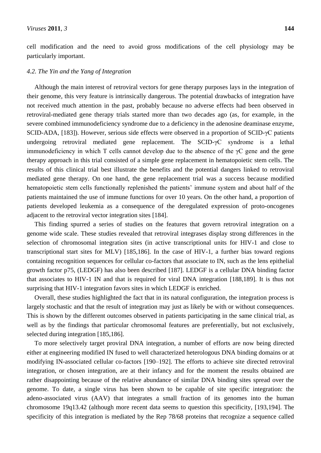cell modification and the need to avoid gross modifications of the cell physiology may be particularly important.

#### *4.2. The Yin and the Yang of Integration*

Although the main interest of retroviral vectors for gene therapy purposes lays in the integration of their genome, this very feature is intrinsically dangerous. The potential drawbacks of integration have not received much attention in the past, probably because no adverse effects had been observed in retroviral-mediated gene therapy trials started more than two decades ago (as, for example, in the severe combined immunodeficiency syndrome due to a deficiency in the adenosine deaminase enzyme, SCID-ADA, [183]). However, serious side effects were observed in a proportion of SCID-γC patients undergoing retroviral mediated gene replacement. The SCID-γC syndrome is a lethal immunodeficiency in which T cells cannot develop due to the absence of the γC gene and the gene therapy approach in this trial consisted of a simple gene replacement in hematopoietic stem cells. The results of this clinical trial best illustrate the benefits and the potential dangers linked to retroviral mediated gene therapy. On one hand, the gene replacement trial was a success because modified hematopoietic stem cells functionally replenished the patients' immune system and about half of the patients maintained the use of immune functions for over 10 years. On the other hand, a proportion of patients developed leukemia as a consequence of the deregulated expression of proto-oncogenes adjacent to the retroviral vector integration sites [184].

This finding spurred a series of studies on the features that govern retroviral integration on a genome wide scale. These studies revealed that retroviral integrases display strong differences in the selection of chromosomal integration sites (in active transcriptional units for HIV-1 and close to transcriptional start sites for MLV) [185,186]. In the case of HIV-1, a further bias toward regions containing recognition sequences for cellular co-factors that associate to IN, such as the lens epithelial growth factor p75, (LEDGF) has also been described [187]. LEDGF is a cellular DNA binding factor that associates to HIV-1 IN and that is required for viral DNA integration [188,189]. It is thus not surprising that HIV-1 integration favors sites in which LEDGF is enriched.

Overall, these studies highlighted the fact that in its natural configuration, the integration process is largely stochastic and that the result of integration may just as likely be with or without consequences. This is shown by the different outcomes observed in patients participating in the same clinical trial, as well as by the findings that particular chromosomal features are preferentially, but not exclusively, selected during integration [185,186].

To more selectively target proviral DNA integration, a number of efforts are now being directed either at engineering modified IN fused to well characterized heterologous DNA binding domains or at modifying IN-associated cellular co-factors [190–192]. The efforts to achieve site directed retroviral integration, or chosen integration, are at their infancy and for the moment the results obtained are rather disappointing because of the relative abundance of similar DNA binding sites spread over the genome. To date, a single virus has been shown to be capable of site specific integration: the adeno-associated virus (AAV) that integrates a small fraction of its genomes into the human chromosome 19q13.42 (although more recent data seems to question this specificity, [193,194]. The specificity of this integration is mediated by the Rep 78/68 proteins that recognize a sequence called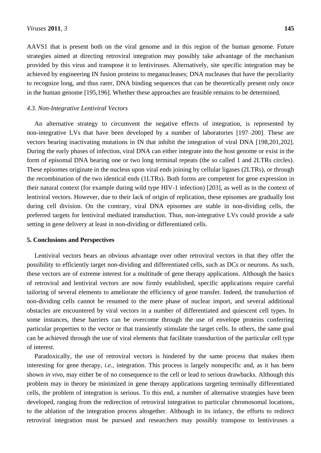AAVS1 that is present both on the viral genome and in this region of the human genome. Future strategies aimed at directing retroviral integration may possibly take advantage of the mechanism provided by this virus and transpose it to lentiviruses. Alternatively, site specific integration may be achieved by engineering IN fusion proteins to meganucleases; DNA nucleases that have the peculiarity to recognize long, and thus rarer, DNA binding sequences that can be theoretically present only once in the human genome [195,196]. Whether these approaches are feasible remains to be determined.

#### *4.3. Non-Integrative Lentiviral Vectors*

An alternative strategy to circumvent the negative effects of integration, is represented by non-integrative LVs that have been developed by a number of laboratories [197–200]. These are vectors bearing inactivating mutations in IN that inhibit the integration of viral DNA [198,201,202]. During the early phases of infection, viral DNA can either integrate into the host genome or exist in the form of episomal DNA bearing one or two long terminal repeats (the so called 1 and 2LTRs circles). These episomes originate in the nucleus upon viral ends joining by cellular ligases (2LTRs), or through the recombination of the two identical ends (1LTRs). Both forms are competent for gene expression in their natural context (for example during wild type HIV-1 infection) [203], as well as in the context of lentiviral vectors. However, due to their lack of origin of replication, these episomes are gradually lost during cell division. On the contrary, viral DNA episomes are stable in non-dividing cells, the preferred targets for lentiviral mediated transduction. Thus, non-integrative LVs could provide a safe setting in gene delivery at least in non-dividing or differentiated cells.

#### **5. Conclusions and Perspectives**

Lentiviral vectors bears an obvious advantage over other retroviral vectors in that they offer the possibility to efficiently target non-dividing and differentiated cells, such as DCs or neurons. As such, these vectors are of extreme interest for a multitude of gene therapy applications. Although the basics of retroviral and lentiviral vectors are now firmly established, specific applications require careful tailoring of several elements to ameliorate the efficiency of gene transfer. Indeed, the transduction of non-dividing cells cannot be resumed to the mere phase of nuclear import, and several additional obstacles are encountered by viral vectors in a number of differentiated and quiescent cell types. In some instances, these barriers can be overcome through the use of envelope proteins conferring particular properties to the vector or that transiently stimulate the target cells. In others, the same goal can be achieved through the use of viral elements that facilitate transduction of the particular cell type of interest.

Paradoxically, the use of retroviral vectors is hindered by the same process that makes them interesting for gene therapy, *i.e.*, integration. This process is largely nonspecific and, as it has been shown *in vivo*, may either be of no consequence to the cell or lead to serious drawbacks. Although this problem may in theory be minimized in gene therapy applications targeting terminally differentiated cells, the problem of integration is serious. To this end, a number of alternative strategies have been developed, ranging from the redirection of retroviral integration to particular chromosomal locations, to the ablation of the integration process altogether. Although in its infancy, the efforts to redirect retroviral integration must be pursued and researchers may possibly transpose to lentiviruses a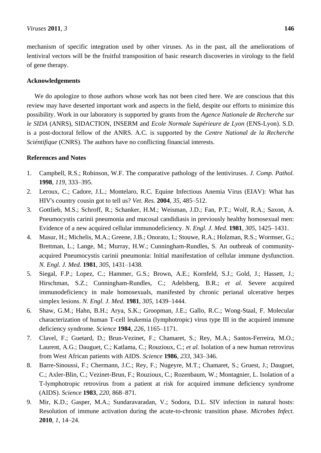mechanism of specific integration used by other viruses. As in the past, all the ameliorations of lentiviral vectors will be the fruitful transposition of basic research discoveries in virology to the field of gene therapy.

### **Acknowledgements**

We do apologize to those authors whose work has not been cited here. We are conscious that this review may have deserted important work and aspects in the field, despite our efforts to minimize this possibility. Work in our laboratory is supported by grants from the *Agence Nationale de Recherche sur le SIDA* (ANRS), SIDACTION, INSERM and *Ecole Normale Supérieure de Lyon* (ENS-Lyon). S.D. is a post-doctoral fellow of the ANRS. A.C. is supported by the *Centre National de la Recherche Sciéntifique* (CNRS). The authors have no conflicting financial interests.

## **References and Notes**

- 1. Campbell, R.S.; Robinson, W.F. The comparative pathology of the lentiviruses. *J. Comp. Pathol.* **1998**, *119*, 333–395.
- 2. Leroux, C.; Cadore, J.L.; Montelaro, R.C. Equine Infectious Anemia Virus (EIAV): What has HIV's country cousin got to tell us? *Vet. Res.* **2004**, *35*, 485–512.
- 3. Gottlieb, M.S.; Schroff, R.; Schanker, H.M.; Weisman, J.D.; Fan, P.T.; Wolf, R.A.; Saxon, A. Pneumocystis carinii pneumonia and mucosal candidiasis in previously healthy homosexual men: Evidence of a new acquired cellular immunodeficiency. *N. Engl. J. Med.* **1981**, *305*, 1425–1431.
- 4. Masur, H.; Michelis, M.A.; Greene, J.B.; Onorato, I.; Stouwe, R.A.; Holzman, R.S.; Wormser, G.; Brettman, L.; Lange, M.; Murray, H.W.; Cunningham-Rundles, S. An outbreak of communityacquired Pneumocystis carinii pneumonia: Initial manifestation of cellular immune dysfunction. *N. Engl. J. Med.* **1981**, *305*, 1431–1438.
- 5. Siegal, F.P.; Lopez, C.; Hammer, G.S.; Brown, A.E.; Kornfeld, S.J.; Gold, J.; Hassett, J.; Hirschman, S.Z.; Cunningham-Rundles, C.; Adelsberg, B.R.; *et al.* Severe acquired immunodeficiency in male homosexuals, manifested by chronic perianal ulcerative herpes simplex lesions. *N. Engl. J. Med.* **1981**, *305*, 1439–1444.
- 6. Shaw, G.M.; Hahn, B.H.; Arya, S.K.; Groopman, J.E.; Gallo, R.C.; Wong-Staal, F. Molecular characterization of human T-cell leukemia (lymphotropic) virus type III in the acquired immune deficiency syndrome. *Science* **1984**, *226*, 1165–1171.
- 7. Clavel, F.; Guetard, D.; Brun-Vezinet, F.; Chamaret, S.; Rey, M.A.; Santos-Ferreira, M.O.; Laurent, A.G.; Dauguet, C.; Katlama, C.; Rouzioux, C.; *et al.* Isolation of a new human retrovirus from West African patients with AIDS. *Science* **1986**, *233*, 343–346.
- 8. Barre-Sinoussi, F.; Chermann, J.C.; Rey, F.; Nugeyre, M.T.; Chamaret, S.; Gruest, J.; Dauguet, C.; Axler-Blin, C.; Vezinet-Brun, F.; Rouzioux, C.; Rozenbaum, W.; Montagnier, L. Isolation of a T-lymphotropic retrovirus from a patient at risk for acquired immune deficiency syndrome (AIDS). *Science* **1983**, *220*, 868–871.
- 9. Mir, K.D.; Gasper, M.A.; Sundaravaradan, V.; Sodora, D.L. SIV infection in natural hosts: Resolution of immune activation during the acute-to-chronic transition phase. *Microbes Infect.* **2010**, *1*, 14–24.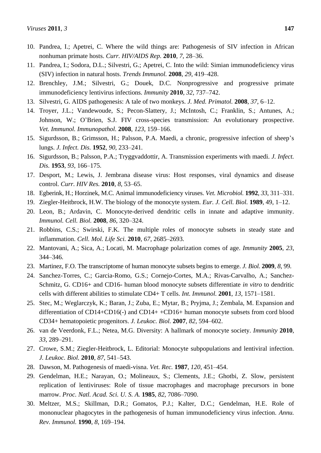- 10. Pandrea, I.; Apetrei, C. Where the wild things are: Pathogenesis of SIV infection in African nonhuman primate hosts. *Curr. HIV/AIDS Rep.* **2010**, *7*, 28–36.
- 11. Pandrea, I.; Sodora, D.L.; Silvestri, G.; Apetrei, C. Into the wild: Simian immunodeficiency virus (SIV) infection in natural hosts. *Trends Immunol.* **2008**, *29*, 419–428.
- 12. Brenchley, J.M.; Silvestri, G.; Douek, D.C. Nonprogressive and progressive primate immunodeficiency lentivirus infections. *Immunity* **2010**, *32*, 737–742.
- 13. Silvestri, G. AIDS pathogenesis: A tale of two monkeys. *J. Med. Primatol.* **2008**, *37*, 6–12.
- 14. Troyer, J.L.; Vandewoude, S.; Pecon-Slattery, J.; McIntosh, C.; Franklin, S.; Antunes, A.; Johnson, W.; O'Brien, S.J. FIV cross-species transmission: An evolutionary prospective. *Vet. Immunol. Immunopathol.* **2008**, *123*, 159–166.
- 15. Sigurdsson, B.; Grimsson, H.; Palsson, P.A. Maedi, a chronic, progressive infection of sheep's lungs. *J. Infect. Dis.* **1952**, *90*, 233–241.
- 16. Sigurdsson, B.; Palsson, P.A.; Tryggvaddottir, A. Transmission experiments with maedi. *J. Infect. Dis.* **1953**, *93*, 166–175.
- 17. Desport, M.; Lewis, J. Jembrana disease virus: Host responses, viral dynamics and disease control. *Curr. HIV Res.* **2010**, *8*, 53–65.
- 18. Egberink, H.; Horzinek, M.C. Animal immunodeficiency viruses. *Vet. Microbiol.* **1992**, *33*, 311–331.
- 19. Ziegler-Heitbrock, H.W. The biology of the monocyte system. *Eur. J. Cell. Biol.* **1989**, 49, 1–12.
- 20. Leon, B.; Ardavin, C. Monocyte-derived dendritic cells in innate and adaptive immunity. *Immunol. Cell. Biol.* **2008**, *86*, 320–324.
- 21. Robbins, C.S.; Swirski, F.K. The multiple roles of monocyte subsets in steady state and inflammation. *Cell. Mol. Life Sci.* **2010**, *67*, 2685–2693.
- 22. Mantovani, A.; Sica, A.; Locati, M. Macrophage polarization comes of age. *Immunity* **2005**, *23*, 344–346.
- 23. Martinez, F.O. The transcriptome of human monocyte subsets begins to emerge. *J. Biol.* **2009**, *8*, 99.
- 24. Sanchez-Torres, C.; Garcia-Romo, G.S.; Cornejo-Cortes, M.A.; Rivas-Carvalho, A.; Sanchez-Schmitz, G. CD16+ and CD16- human blood monocyte subsets differentiate *in vitro* to dendritic cells with different abilities to stimulate CD4+ T cells. *Int. Immunol.* **2001**, *13*, 1571–1581.
- 25. Stec, M.; Weglarczyk, K.; Baran, J.; Zuba, E.; Mytar, B.; Pryjma, J.; Zembala, M. Expansion and differentiation of CD14+CD16(-) and CD14+ +CD16+ human monocyte subsets from cord blood CD34+ hematopoietic progenitors. *J. Leukoc. Biol.* **2007**, *82*, 594–602.
- 26. van de Veerdonk, F.L.; Netea, M.G. Diversity: A hallmark of monocyte society. *Immunity* **2010**, *33*, 289–291.
- 27. Crowe, S.M.; Ziegler-Heitbrock, L. Editorial: Monocyte subpopulations and lentiviral infection. *J. Leukoc. Biol.* **2010**, *87*, 541–543.
- 28. Dawson, M. Pathogenesis of maedi-visna. *Vet. Rec.* **1987**, *120*, 451–454.
- 29. Gendelman, H.E.; Narayan, O.; Molineaux, S.; Clements, J.E.; Ghotbi, Z. Slow, persistent replication of lentiviruses: Role of tissue macrophages and macrophage precursors in bone marrow. *Proc. Natl. Acad. Sci. U. S. A.* **1985**, *82*, 7086–7090.
- 30. Meltzer, M.S.; Skillman, D.R.; Gomatos, P.J.; Kalter, D.C.; Gendelman, H.E. Role of mononuclear phagocytes in the pathogenesis of human immunodeficiency virus infection. *Annu. Rev. Immunol.* **1990**, *8*, 169–194.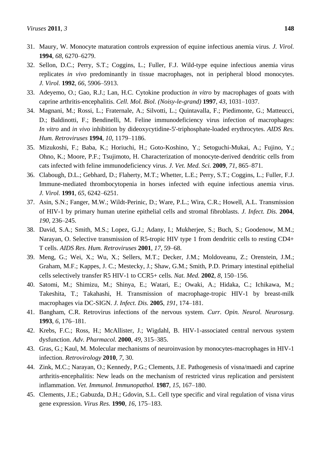- 31. Maury, W. Monocyte maturation controls expression of equine infectious anemia virus. *J. Virol.* **1994**, *68*, 6270–6279.
- 32. Sellon, D.C.; Perry, S.T.; Coggins, L.; Fuller, F.J. Wild-type equine infectious anemia virus replicates *in vivo* predominantly in tissue macrophages, not in peripheral blood monocytes. *J. Virol.* **1992**, *66*, 5906–5913.
- 33. Adeyemo, O.; Gao, R.J.; Lan, H.C. Cytokine production *in vitro* by macrophages of goats with caprine arthritis-encephalitis. *Cell. Mol. Biol. (Noisy-le-grand)* **1997**, *43*, 1031–1037.
- 34. Magnani, M.; Rossi, L.; Fraternale, A.; Silvotti, L.; Quintavalla, F.; Piedimonte, G.; Matteucci, D.; Baldinotti, F.; Bendinelli, M. Feline immunodeficiency virus infection of macrophages: *In vitro* and *in vivo* inhibition by dideoxycytidine-5'-triphosphate-loaded erythrocytes. *AIDS Res. Hum. Retroviruses* **1994**, *10*, 1179–1186.
- 35. Mizukoshi, F.; Baba, K.; Horiuchi, H.; Goto-Koshino, Y.; Setoguchi-Mukai, A.; Fujino, Y.; Ohno, K.; Moore, P.F.; Tsujimoto, H. Characterization of monocyte-derived dendritic cells from cats infected with feline immunodeficiency virus. *J. Vet. Med. Sci.* **2009**, *71*, 865–871.
- 36. Clabough, D.L.; Gebhard, D.; Flaherty, M.T.; Whetter, L.E.; Perry, S.T.; Coggins, L.; Fuller, F.J. Immune-mediated thrombocytopenia in horses infected with equine infectious anemia virus. *J. Virol.* **1991**, *65*, 6242–6251.
- 37. Asin, S.N.; Fanger, M.W.; Wildt-Perinic, D.; Ware, P.L.; Wira, C.R.; Howell, A.L. Transmission of HIV-1 by primary human uterine epithelial cells and stromal fibroblasts. *J. Infect. Dis.* **2004**, *190*, 236–245.
- 38. David, S.A.; Smith, M.S.; Lopez, G.J.; Adany, I.; Mukherjee, S.; Buch, S.; Goodenow, M.M.; Narayan, O. Selective transmission of R5-tropic HIV type 1 from dendritic cells to resting CD4+ T cells. *AIDS Res. Hum. Retroviruses* **2001**, *17*, 59–68.
- 39. Meng, G.; Wei, X.; Wu, X.; Sellers, M.T.; Decker, J.M.; Moldoveanu, Z.; Orenstein, J.M.; Graham, M.F.; Kappes, J. C.; Mestecky, J.; Shaw, G.M.; Smith, P.D. Primary intestinal epithelial cells selectively transfer R5 HIV-1 to CCR5+ cells. *Nat. Med.* **2002**, *8*, 150–156.
- 40. Satomi, M.; Shimizu, M.; Shinya, E.; Watari, E.; Owaki, A.; Hidaka, C.; Ichikawa, M.; Takeshita, T.; Takahashi, H. Transmission of macrophage-tropic HIV-1 by breast-milk macrophages via DC-SIGN. *J. Infect. Dis.* **2005**, *191*, 174–181.
- 41. Bangham, C.R. Retrovirus infections of the nervous system. *Curr. Opin. Neurol. Neurosurg.* **1993**, *6*, 176–181.
- 42. Krebs, F.C.; Ross, H.; McAllister, J.; Wigdahl, B. HIV-1-associated central nervous system dysfunction. *Adv. Pharmacol.* **2000**, *49*, 315–385.
- 43. Gras, G.; Kaul, M. Molecular mechanisms of neuroinvasion by monocytes-macrophages in HIV-1 infection. *Retrovirology* **2010**, *7*, 30.
- 44. Zink, M.C.; Narayan, O.; Kennedy, P.G.; Clements, J.E. Pathogenesis of visna/maedi and caprine arthritis-encephalitis: New leads on the mechanism of restricted virus replication and persistent inflammation. *Vet. Immunol. Immunopathol.* **1987**, *15*, 167–180.
- 45. Clements, J.E.; Gabuzda, D.H.; Gdovin, S.L. Cell type specific and viral regulation of visna virus gene expression. *Virus Res.* **1990**, *16*, 175–183.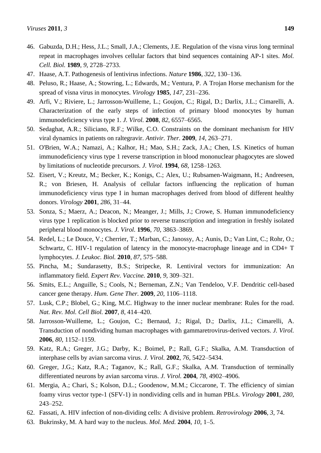- 46. Gabuzda, D.H.; Hess, J.L.; Small, J.A.; Clements, J.E. Regulation of the visna virus long terminal repeat in macrophages involves cellular factors that bind sequences containing AP-1 sites. *Mol. Cell. Biol.* **1989**, *9*, 2728–2733.
- 47. Haase, A.T. Pathogenesis of lentivirus infections. *Nature* **1986**, *322*, 130–136.
- 48. Peluso, R.; Haase, A.; Stowring, L.; Edwards, M.; Ventura, P. A Trojan Horse mechanism for the spread of visna virus in monocytes. *Virology* **1985**, *147*, 231–236.
- 49. Arfi, V.; Riviere, L.; Jarrosson-Wuilleme, L.; Goujon, C.; Rigal, D.; Darlix, J.L.; Cimarelli, A. Characterization of the early steps of infection of primary blood monocytes by human immunodeficiency virus type 1. *J. Virol.* **2008**, *82*, 6557–6565.
- 50. Sedaghat, A.R.; Siliciano, R.F.; Wilke, C.O. Constraints on the dominant mechanism for HIV viral dynamics in patients on raltegravir. *Antivir. Ther.* **2009**, *14*, 263–271.
- 51. O'Brien, W.A.; Namazi, A.; Kalhor, H.; Mao, S.H.; Zack, J.A.; Chen, I.S. Kinetics of human immunodeficiency virus type 1 reverse transcription in blood mononuclear phagocytes are slowed by limitations of nucleotide precursors. *J. Virol.* **1994**, *68*, 1258–1263.
- 52. Eisert, V.; Kreutz, M.; Becker, K.; Konigs, C.; Alex, U.; Rubsamen-Waigmann, H.; Andreesen, R.; von Briesen, H. Analysis of cellular factors influencing the replication of human immunodeficiency virus type I in human macrophages derived from blood of different healthy donors. *Virology* **2001**, *286*, 31–44.
- 53. Sonza, S.; Maerz, A.; Deacon, N.; Meanger, J.; Mills, J.; Crowe, S. Human immunodeficiency virus type 1 replication is blocked prior to reverse transcription and integration in freshly isolated peripheral blood monocytes. *J. Virol.* **1996**, *70*, 3863–3869.
- 54. Redel, L.; Le Douce, V.; Cherrier, T.; Marban, C.; Janossy, A.; Aunis, D.; Van Lint, C.; Rohr, O.; Schwartz, C. HIV-1 regulation of latency in the monocyte-macrophage lineage and in CD4+ T lymphocytes. *J. Leukoc. Biol.* **2010**, *87*, 575–588.
- 55. Pincha, M.; Sundarasetty, B.S.; Stripecke, R. Lentiviral vectors for immunization: An inflammatory field. *Expert Rev. Vaccine.* **2010**, *9*, 309–321.
- 56. Smits, E.L.; Anguille, S.; Cools, N.; Berneman, Z.N.; Van Tendeloo, V.F. Dendritic cell-based cancer gene therapy. *Hum. Gene Ther.* **2009**, *20*, 1106–1118.
- 57. Lusk, C.P.; Blobel, G.; King, M.C. Highway to the inner nuclear membrane: Rules for the road. *Nat. Rev. Mol. Cell Biol.* **2007**, *8*, 414–420.
- 58. Jarrosson-Wuilleme, L.; Goujon, C.; Bernaud, J.; Rigal, D.; Darlix, J.L.; Cimarelli, A. Transduction of nondividing human macrophages with gammaretrovirus-derived vectors. *J. Virol.* **2006**, *80*, 1152–1159.
- 59. Katz, R.A.; Greger, J.G.; Darby, K.; Boimel, P.; Rall, G.F.; Skalka, A.M. Transduction of interphase cells by avian sarcoma virus. *J. Virol.* **2002**, *76*, 5422–5434.
- 60. Greger, J.G.; Katz, R.A.; Taganov, K.; Rall, G.F.; Skalka, A.M. Transduction of terminally differentiated neurons by avian sarcoma virus. *J. Virol.* **2004**, *78*, 4902–4906.
- 61. Mergia, A.; Chari, S.; Kolson, D.L.; Goodenow, M.M.; Ciccarone, T. The efficiency of simian foamy virus vector type-1 (SFV-1) in nondividing cells and in human PBLs. *Virology* **2001**, *280*, 243–252.
- 62. Fassati, A. HIV infection of non-dividing cells: A divisive problem. *Retrovirology* **2006**, *3*, 74.
- 63. Bukrinsky, M. A hard way to the nucleus. *Mol. Med.* **2004**, *10*, 1–5.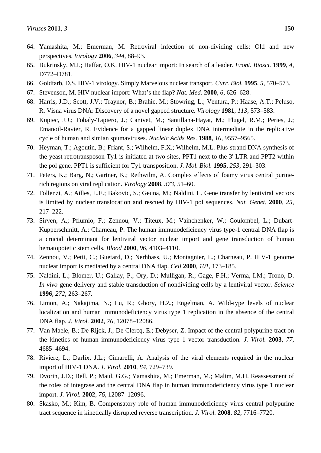- 64. Yamashita, M.; Emerman, M. Retroviral infection of non-dividing cells: Old and new perspectives. *Virology* **2006**, *344*, 88–93.
- 65. Bukrinsky, M.I.; Haffar, O.K. HIV-1 nuclear import: In search of a leader. *Front. Biosci.* **1999**, *4*, D772–D781.
- 66. Goldfarb, D.S. HIV-1 virology. Simply Marvelous nuclear transport. *Curr. Biol.* **1995**, *5*, 570–573.
- 67. Stevenson, M. HIV nuclear import: What's the flap? *Nat. Med.* **2000**, *6*, 626–628.
- 68. Harris, J.D.; Scott, J.V.; Traynor, B.; Brahic, M.; Stowring, L.; Ventura, P.; Haase, A.T.; Peluso, R. Visna virus DNA: Discovery of a novel gapped structure. *Virology* **1981**, *113*, 573–583.
- 69. Kupiec, J.J.; Tobaly-Tapiero, J.; Canivet, M.; Santillana-Hayat, M.; Flugel, R.M.; Peries, J.; Emanoil-Ravier, R. Evidence for a gapped linear duplex DNA intermediate in the replicative cycle of human and simian spumaviruses. *Nucleic Acids Res.* **1988**, *16*, 9557–9565.
- 70. Heyman, T.; Agoutin, B.; Friant, S.; Wilhelm, F.X.; Wilhelm, M.L. Plus-strand DNA synthesis of the yeast retrotransposon Ty1 is initiated at two sites, PPT1 next to the 3' LTR and PPT2 within the pol gene. PPT1 is sufficient for Ty1 transposition. *J. Mol. Biol.* **1995**, *253*, 291–303.
- 71. Peters, K.; Barg, N.; Gartner, K.; Rethwilm, A. Complex effects of foamy virus central purinerich regions on viral replication. *Virology* **2008**, *373*, 51–60.
- 72. Follenzi, A.; Ailles, L.E.; Bakovic, S.; Geuna, M.; Naldini, L. Gene transfer by lentiviral vectors is limited by nuclear translocation and rescued by HIV-1 pol sequences. *Nat. Genet.* **2000**, *25*, 217–222.
- 73. Sirven, A.; Pflumio, F.; Zennou, V.; Titeux, M.; Vainchenker, W.; Coulombel, L.; Dubart-Kupperschmitt, A.; Charneau, P. The human immunodeficiency virus type-1 central DNA flap is a crucial determinant for lentiviral vector nuclear import and gene transduction of human hematopoietic stem cells. *Blood* **2000**, *96*, 4103–4110.
- 74. Zennou, V.; Petit, C.; Guetard, D.; Nerhbass, U.; Montagnier, L.; Charneau, P. HIV-1 genome nuclear import is mediated by a central DNA flap. *Cell* **2000**, *101*, 173–185.
- 75. Naldini, L.; Blomer, U.; Gallay, P.; Ory, D.; Mulligan, R.; Gage, F.H.; Verma, I.M.; Trono, D. *In vivo* gene delivery and stable transduction of nondividing cells by a lentiviral vector. *Science*  **1996**, *272*, 263–267.
- 76. Limon, A.; Nakajima, N.; Lu, R.; Ghory, H.Z.; Engelman, A. Wild-type levels of nuclear localization and human immunodeficiency virus type 1 replication in the absence of the central DNA flap. *J. Virol.* **2002**, *76*, 12078–12086.
- 77. Van Maele, B.; De Rijck, J.; De Clercq, E.; Debyser, Z. Impact of the central polypurine tract on the kinetics of human immunodeficiency virus type 1 vector transduction. *J. Virol.* **2003**, *77*, 4685–4694.
- 78. Riviere, L.; Darlix, J.L.; Cimarelli, A. Analysis of the viral elements required in the nuclear import of HIV-1 DNA. *J. Virol.* **2010**, *84*, 729–739.
- 79. Dvorin, J.D.; Bell, P.; Maul, G.G.; Yamashita, M.; Emerman, M.; Malim, M.H. Reassessment of the roles of integrase and the central DNA flap in human immunodeficiency virus type 1 nuclear import. *J. Virol.* **2002**, *76*, 12087–12096.
- 80. Skasko, M.; Kim, B. Compensatory role of human immunodeficiency virus central polypurine tract sequence in kinetically disrupted reverse transcription. *J. Virol.* **2008**, *82*, 7716–7720.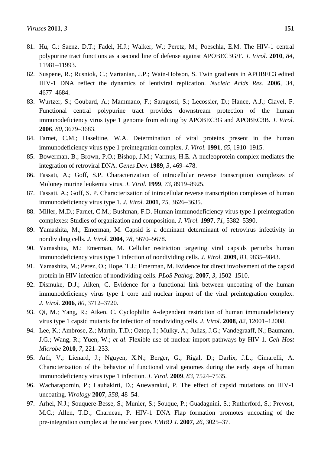- 81. Hu, C.; Saenz, D.T.; Fadel, H.J.; Walker, W.; Peretz, M.; Poeschla, E.M. The HIV-1 central polypurine tract functions as a second line of defense against APOBEC3G/F. *J. Virol.* **2010**, *84*, 11981–11993.
- 82. Suspene, R.; Rusniok, C.; Vartanian, J.P.; Wain-Hobson, S. Twin gradients in APOBEC3 edited HIV-1 DNA reflect the dynamics of lentiviral replication. *Nucleic Acids Res.* **2006**, *34*, 4677–4684.
- 83. Wurtzer, S.; Goubard, A.; Mammano, F.; Saragosti, S.; Lecossier, D.; Hance, A.J.; Clavel, F. Functional central polypurine tract provides downstream protection of the human immunodeficiency virus type 1 genome from editing by APOBEC3G and APOBEC3B. *J. Virol.* **2006**, *80*, 3679–3683.
- 84. Farnet, C.M.; Haseltine, W.A. Determination of viral proteins present in the human immunodeficiency virus type 1 preintegration complex. *J. Virol.* **1991**, *65*, 1910–1915.
- 85. Bowerman, B.; Brown, P.O.; Bishop, J.M.; Varmus, H.E. A nucleoprotein complex mediates the integration of retroviral DNA. *Genes Dev.* **1989**, *3*, 469–478.
- 86. Fassati, A.; Goff, S.P. Characterization of intracellular reverse transcription complexes of Moloney murine leukemia virus. *J. Virol.* **1999**, *73*, 8919–8925.
- 87. Fassati, A.; Goff, S. P. Characterization of intracellular reverse transcription complexes of human immunodeficiency virus type 1. *J. Virol.* **2001**, *75*, 3626–3635.
- 88. Miller, M.D.; Farnet, C.M.; Bushman, F.D. Human immunodeficiency virus type 1 preintegration complexes: Studies of organization and composition. *J. Virol.* **1997**, *71*, 5382–5390.
- 89. Yamashita, M.; Emerman, M. Capsid is a dominant determinant of retrovirus infectivity in nondividing cells. *J. Virol.* **2004**, *78*, 5670–5678.
- 90. Yamashita, M.; Emerman, M. Cellular restriction targeting viral capsids perturbs human immunodeficiency virus type 1 infection of nondividing cells. *J. Virol.* **2009**, *83*, 9835–9843.
- 91. Yamashita, M.; Perez, O.; Hope, T.J.; Emerman, M. Evidence for direct involvement of the capsid protein in HIV infection of nondividing cells. *PLoS Pathog.* **2007**, *3*, 1502–1510.
- 92. Dismuke, D.J.; Aiken, C. Evidence for a functional link between uncoating of the human immunodeficiency virus type 1 core and nuclear import of the viral preintegration complex. *J. Virol.* **2006**, *80*, 3712–3720.
- 93. Qi, M.; Yang, R.; Aiken, C. Cyclophilin A-dependent restriction of human immunodeficiency virus type 1 capsid mutants for infection of nondividing cells. *J. Virol.* **2008**, *82*, 12001–12008.
- 94. Lee, K.; Ambrose, Z.; Martin, T.D.; Oztop, I.; Mulky, A.; Julias, J.G.; Vandegraaff, N.; Baumann, J.G.; Wang, R.; Yuen, W.; *et al*. Flexible use of nuclear import pathways by HIV-1. *Cell Host Microbe* **2010**, *7*, 221–233.
- 95. Arfi, V.; Lienard, J.; Nguyen, X.N.; Berger, G.; Rigal, D.; Darlix, J.L.; Cimarelli, A. Characterization of the behavior of functional viral genomes during the early steps of human immunodeficiency virus type 1 infection. *J. Virol.* **2009**, *83*, 7524–7535.
- 96. Wacharapornin, P.; Lauhakirti, D.; Auewarakul, P. The effect of capsid mutations on HIV-1 uncoating. *Virology* **2007**, *358*, 48–54.
- 97. Arhel, N.J.; Souquere-Besse, S.; Munier, S.; Souque, P.; Guadagnini, S.; Rutherford, S.; Prevost, M.C.; Allen, T.D.; Charneau, P. HIV-1 DNA Flap formation promotes uncoating of the pre-integration complex at the nuclear pore. *EMBO J.* **2007**, *26*, 3025–37.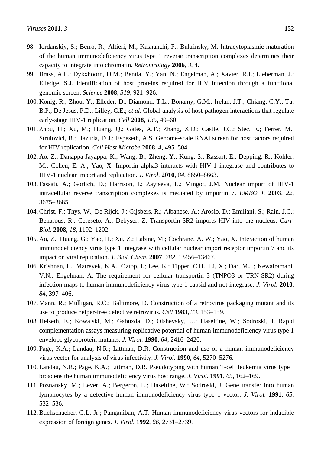- 98. Iordanskiy, S.; Berro, R.; Altieri, M.; Kashanchi, F.; Bukrinsky, M. Intracytoplasmic maturation of the human immunodeficiency virus type 1 reverse transcription complexes determines their capacity to integrate into chromatin. *Retrovirology* **2006**, *3*, 4.
- 99. Brass, A.L.; Dykxhoorn, D.M.; Benita, Y.; Yan, N.; Engelman, A.; Xavier, R.J.; Lieberman, J.; Elledge, S.J. Identification of host proteins required for HIV infection through a functional genomic screen. *Science* **2008**, *319*, 921–926.
- 100. Konig, R.; Zhou, Y.; Elleder, D.; Diamond, T.L.; Bonamy, G.M.; Irelan, J.T.; Chiang, C.Y.; Tu, B.P.; De Jesus, P.D.; Lilley, C.E.; *et al*. Global analysis of host-pathogen interactions that regulate early-stage HIV-1 replication. *Cell* **2008**, *135*, 49–60.
- 101. Zhou, H.; Xu, M.; Huang, Q.; Gates, A.T.; Zhang, X.D.; Castle, J.C.; Stec, E.; Ferrer, M.; Strulovici, B.; Hazuda, D J.; Espeseth, A.S. Genome-scale RNAi screen for host factors required for HIV replication. *Cell Host Microbe* **2008**, *4*, 495–504.
- 102. Ao, Z.; Danappa Jayappa, K.; Wang, B.; Zheng, Y.; Kung, S.; Rassart, E.; Depping, R.; Kohler, M.; Cohen, E. A.; Yao, X. Importin alpha3 interacts with HIV-1 integrase and contributes to HIV-1 nuclear import and replication. *J. Virol.* **2010**, *84*, 8650–8663.
- 103. Fassati, A.; Gorlich, D.; Harrison, I.; Zaytseva, L.; Mingot, J.M. Nuclear import of HIV-1 intracellular reverse transcription complexes is mediated by importin 7. *EMBO J.* **2003**, *22*, 3675–3685.
- 104. Christ, F.; Thys, W.; De Rijck, J.; Gijsbers, R.; Albanese, A.; Arosio, D.; Emiliani, S.; Rain, J.C.; Benarous, R.; Cereseto, A.; Debyser, Z. Transportin-SR2 imports HIV into the nucleus. *Curr. Biol.* **2008**, *18*, 1192–1202.
- 105. Ao, Z.; Huang, G.; Yao, H.; Xu, Z.; Labine, M.; Cochrane, A. W.; Yao, X. Interaction of human immunodeficiency virus type 1 integrase with cellular nuclear import receptor importin 7 and its impact on viral replication. *J. Biol. Chem.* **2007**, *282*, 13456–13467.
- 106. Krishnan, L.; Matreyek, K.A.; Oztop, I.; Lee, K.; Tipper, C.H.; Li, X.; Dar, M.J.; Kewalramani, V.N.; Engelman, A. The requirement for cellular transportin 3 (TNPO3 or TRN-SR2) during infection maps to human immunodeficiency virus type 1 capsid and not integrase. *J. Virol.* **2010**, *84*, 397–406.
- 107. Mann, R.; Mulligan, R.C.; Baltimore, D. Construction of a retrovirus packaging mutant and its use to produce helper-free defective retrovirus. *Cell* **1983**, *33*, 153–159.
- 108. Helseth, E.; Kowalski, M.; Gabuzda, D.; Olshevsky, U.; Haseltine, W.; Sodroski, J. Rapid complementation assays measuring replicative potential of human immunodeficiency virus type 1 envelope glycoprotein mutants. *J. Virol.* **1990**, *64*, 2416–2420.
- 109. Page, K.A.; Landau, N.R.; Littman, D.R. Construction and use of a human immunodeficiency virus vector for analysis of virus infectivity. *J. Virol.* **1990**, *64*, 5270–5276.
- 110. Landau, N.R.; Page, K.A.; Littman, D.R. Pseudotyping with human T-cell leukemia virus type I broadens the human immunodeficiency virus host range. *J. Virol.* **1991**, *65*, 162–169.
- 111. Poznansky, M.; Lever, A.; Bergeron, L.; Haseltine, W.; Sodroski, J. Gene transfer into human lymphocytes by a defective human immunodeficiency virus type 1 vector. *J. Virol.* **1991**, *65*, 532–536.
- 112. Buchschacher, G.L. Jr.; Panganiban, A.T. Human immunodeficiency virus vectors for inducible expression of foreign genes. *J. Virol.* **1992**, *66*, 2731–2739.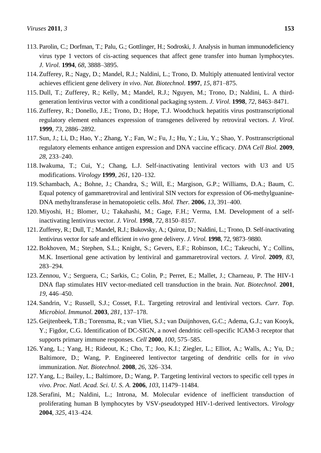- 113. Parolin, C.; Dorfman, T.; Palu, G.; Gottlinger, H.; Sodroski, J. Analysis in human immunodeficiency virus type 1 vectors of cis-acting sequences that affect gene transfer into human lymphocytes. *J. Virol.* **1994**, *68*, 3888–3895.
- 114. Zufferey, R.; Nagy, D.; Mandel, R.J.; Naldini, L.; Trono, D. Multiply attenuated lentiviral vector achieves efficient gene delivery *in vivo*. *Nat. Biotechnol.* **1997**, *15*, 871–875.
- 115. Dull, T.; Zufferey, R.; Kelly, M.; Mandel, R.J.; Nguyen, M.; Trono, D.; Naldini, L. A thirdgeneration lentivirus vector with a conditional packaging system. *J. Virol.* **1998**, *72*, 8463–8471.
- 116. Zufferey, R.; Donello, J.E.; Trono, D.; Hope, T.J. Woodchuck hepatitis virus posttranscriptional regulatory element enhances expression of transgenes delivered by retroviral vectors. *J. Virol.* **1999**, *73*, 2886–2892.
- 117. Sun, J.; Li, D.; Hao, Y.; Zhang, Y.; Fan, W.; Fu, J.; Hu, Y.; Liu, Y.; Shao, Y. Posttranscriptional regulatory elements enhance antigen expression and DNA vaccine efficacy. *DNA Cell Biol.* **2009**, *28*, 233–240.
- 118. Iwakuma, T.; Cui, Y.; Chang, L.J. Self-inactivating lentiviral vectors with U3 and U5 modifications. *Virology* **1999**, *261*, 120–132.
- 119. Schambach, A.; Bohne, J.; Chandra, S.; Will, E.; Margison, G.P.; Williams, D.A.; Baum, C. Equal potency of gammaretroviral and lentiviral SIN vectors for expression of O6-methylguanine-DNA methyltransferase in hematopoietic cells. *Mol. Ther.* **2006**, *13*, 391–400.
- 120. Miyoshi, H.; Blomer, U.; Takahashi, M.; Gage, F.H.; Verma, I.M. Development of a selfinactivating lentivirus vector. *J. Virol.* **1998**, *72*, 8150–8157.
- 121. Zufferey, R.; Dull, T.; Mandel, R.J.; Bukovsky, A.; Quiroz, D.; Naldini, L.; Trono, D. Self-inactivating lentivirus vector for safe and efficient *in vivo* gene delivery. *J. Virol.* **1998**, 72, 9873–9880.
- 122. Bokhoven, M.; Stephen, S.L.; Knight, S.; Gevers, E.F.; Robinson, I.C.; Takeuchi, Y.; Collins, M.K. Insertional gene activation by lentiviral and gammaretroviral vectors. *J. Virol.* **2009**, *83*, 283–294.
- 123. Zennou, V.; Serguera, C.; Sarkis, C.; Colin, P.; Perret, E.; Mallet, J.; Charneau, P. The HIV-1 DNA flap stimulates HIV vector-mediated cell transduction in the brain. *Nat. Biotechnol.* **2001**, *19*, 446–450.
- 124. Sandrin, V.; Russell, S.J.; Cosset, F.L. Targeting retroviral and lentiviral vectors. *Curr. Top. Microbiol. Immunol.* **2003**, *281*, 137–178.
- 125. Geijtenbeek, T.B.; Torensma, R.; van Vliet, S.J.; van Duijnhoven, G.C.; Adema, G.J.; van Kooyk, Y.; Figdor, C.G. Identification of DC-SIGN, a novel dendritic cell-specific ICAM-3 receptor that supports primary immune responses. *Cell* **2000**, *100*, 575–585.
- 126. Yang, L.; Yang, H.; Rideout, K.; Cho, T.; Joo, K.I.; Ziegler, L.; Elliot, A.; Walls, A.; Yu, D.; Baltimore, D.; Wang, P. Engineered lentivector targeting of dendritic cells for *in vivo* immunization. *Nat. Biotechnol.* **2008**, *26*, 326–334.
- 127. Yang, L.; Bailey, L.; Baltimore, D.; Wang, P. Targeting lentiviral vectors to specific cell types *in vivo*. *Proc. Natl. Acad. Sci. U. S. A.* **2006**, *103*, 11479–11484.
- 128. Serafini, M.; Naldini, L.; Introna, M. Molecular evidence of inefficient transduction of proliferating human B lymphocytes by VSV-pseudotyped HIV-1-derived lentivectors. *Virology*  **2004**, *325*, 413–424.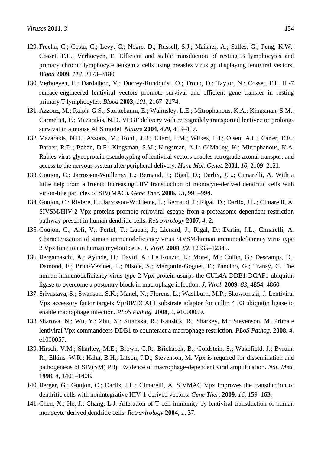- 129. Frecha, C.; Costa, C.; Levy, C.; Negre, D.; Russell, S.J.; Maisner, A.; Salles, G.; Peng, K.W.; Cosset, F.L.; Verhoeyen, E. Efficient and stable transduction of resting B lymphocytes and primary chronic lymphocyte leukemia cells using measles virus gp displaying lentiviral vectors. *Blood* **2009**, *114*, 3173–3180.
- 130. Verhoeyen, E.; Dardalhon, V.; Ducrey-Rundquist, O.; Trono, D.; Taylor, N.; Cosset, F.L. IL-7 surface-engineered lentiviral vectors promote survival and efficient gene transfer in resting primary T lymphocytes. *Blood* **2003**, *101*, 2167–2174.
- 131. Azzouz, M.; Ralph, G.S.; Storkebaum, E.; Walmsley, L.E.; Mitrophanous, K.A.; Kingsman, S.M.; Carmeliet, P.; Mazarakis, N.D. VEGF delivery with retrogradely transported lentivector prolongs survival in a mouse ALS model. *Nature* **2004**, *429*, 413–417.
- 132. Mazarakis, N.D.; Azzouz, M.; Rohll, J.B.; Ellard, F.M.; Wilkes, F.J.; Olsen, A.L.; Carter, E.E.; Barber, R.D.; Baban, D.F.; Kingsman, S.M.; Kingsman, A.J.; O'Malley, K.; Mitrophanous, K.A. Rabies virus glycoprotein pseudotyping of lentiviral vectors enables retrograde axonal transport and access to the nervous system after peripheral delivery. *Hum. Mol. Genet.* **2001**, *10*, 2109–2121.
- 133. Goujon, C.; Jarrosson-Wuilleme, L.; Bernaud, J.; Rigal, D.; Darlix, J.L.; Cimarelli, A. With a little help from a friend: Increasing HIV transduction of monocyte-derived dendritic cells with virion-like particles of SIV(MAC). *Gene Ther.* **2006**, *13*, 991–994.
- 134. Goujon, C.; Riviere, L.; Jarrosson-Wuilleme, L.; Bernaud, J.; Rigal, D.; Darlix, J.L.; Cimarelli, A. SIVSM/HIV-2 Vpx proteins promote retroviral escape from a proteasome-dependent restriction pathway present in human dendritic cells. *Retrovirology* **2007**, *4*, 2.
- 135. Goujon, C.; Arfi, V.; Pertel, T.; Luban, J.; Lienard, J.; Rigal, D.; Darlix, J.L.; Cimarelli, A. Characterization of simian immunodeficiency virus SIVSM/human immunodeficiency virus type 2 Vpx function in human myeloid cells. *J. Virol.* **2008**, *82*, 12335–12345.
- 136. Bergamaschi, A.; Ayinde, D.; David, A.; Le Rouzic, E.; Morel, M.; Collin, G.; Descamps, D.; Damond, F.; Brun-Vezinet, F.; Nisole, S.; Margottin-Goguet, F.; Pancino, G.; Transy, C. The human immunodeficiency virus type 2 Vpx protein usurps the CUL4A-DDB1 DCAF1 ubiquitin ligase to overcome a postentry block in macrophage infection. *J. Virol.* **2009**, *83*, 4854–4860.
- 137. Srivastava, S.; Swanson, S.K.; Manel, N.; Florens, L.; Washburn, M.P.; Skowronski, J. Lentiviral Vpx accessory factor targets VprBP/DCAF1 substrate adaptor for cullin 4 E3 ubiquitin ligase to enable macrophage infection. *PLoS Pathog.* **2008**, *4*, e1000059.
- 138. Sharova, N.; Wu, Y.; Zhu, X.; Stranska, R.; Kaushik, R.; Sharkey, M.; Stevenson, M. Primate lentiviral Vpx commandeers DDB1 to counteract a macrophage restriction. *PLoS Pathog.* **2008**, *4*, e1000057.
- 139. Hirsch, V.M.; Sharkey, M.E.; Brown, C.R.; Brichacek, B.; Goldstein, S.; Wakefield, J.; Byrum, R.; Elkins, W.R.; Hahn, B.H.; Lifson, J.D.; Stevenson, M. Vpx is required for dissemination and pathogenesis of SIV(SM) PBj: Evidence of macrophage-dependent viral amplification. *Nat. Med.* **1998**, *4*, 1401–1408.
- 140. Berger, G.; Goujon, C.; Darlix, J.L.; Cimarelli, A. SIVMAC Vpx improves the transduction of dendritic cells with nonintegrative HIV-1-derived vectors. *Gene Ther.* **2009**, *16*, 159–163.
- 141. Chen, X.; He, J.; Chang, L.J. Alteration of T cell immunity by lentiviral transduction of human monocyte-derived dendritic cells. *Retrovirology* **2004**, *1*, 37.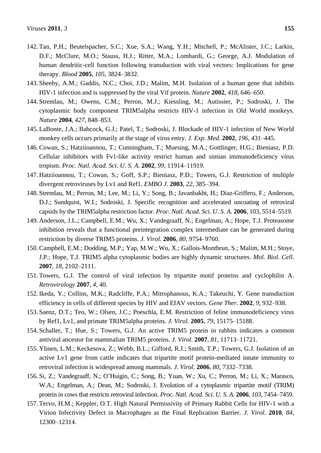- 142. Tan, P.H.; Beutelspacher, S.C.; Xue, S.A.; Wang, Y.H.; Mitchell, P.; McAlister, J.C.; Larkin, D.F.; McClure, M.O.; Stauss, H.J.; Ritter, M.A.; Lombardi, G.; George, A.J. Modulation of human dendritic-cell function following transduction with viral vectors: Implications for gene therapy. *Blood* **2005**, *105*, 3824–3832.
- 143. Sheehy, A.M.; Gaddis, N.C.; Choi, J.D.; Malim, M.H. Isolation of a human gene that inhibits HIV-1 infection and is suppressed by the viral Vif protein. *Nature* **2002**, *418*, 646–650.
- 144. Stremlau, M.; Owens, C.M.; Perron, M.J.; Kiessling, M.; Autissier, P.; Sodroski, J. The cytoplasmic body component TRIM5alpha restricts HIV-1 infection in Old World monkeys. *Nature* **2004**, *427*, 848–853.
- 145. LaBonte, J.A.; Babcock, G.J.; Patel, T.; Sodroski, J. Blockade of HIV-1 infection of New World monkey cells occurs primarily at the stage of virus entry. *J. Exp. Med.* **2002**, *196*, 431–445.
- 146. Cowan, S.; Hatziioannou, T.; Cunningham, T.; Muesing, M.A.; Gottlinger, H.G.; Bieniasz, P.D. Cellular inhibitors with Fv1-like activity restrict human and simian immunodeficiency virus tropism. *Proc. Natl. Acad. Sci. U. S. A.* **2002**, *99*, 11914–11919.
- 147. Hatziioannou, T.; Cowan, S.; Goff, S.P.; Bieniasz, P.D.; Towers, G.J. Restriction of multiple divergent retroviruses by Lv1 and Ref1. *EMBO J.* **2003**, *22*, 385–394.
- 148. Stremlau, M.; Perron, M.; Lee, M.; Li, Y.; Song, B.; Javanbakht, H.; Diaz-Griffero, F.; Anderson, D.J.; Sundquist, W.I.; Sodroski, J. Specific recognition and accelerated uncoating of retroviral capsids by the TRIM5alpha restriction factor. *Proc. Natl. Acad. Sci. U. S. A.* **2006**, 103, 5514–5519.
- 149. Anderson, J.L.; Campbell, E.M.; Wu, X.; Vandegraaff, N.; Engelman, A.; Hope, T.J. Proteasome inhibition reveals that a functional preintegration complex intermediate can be generated during restriction by diverse TRIM5 proteins. *J. Virol.* **2006**, *80*, 9754–9760.
- 150. Campbell, E.M.; Dodding, M.P.; Yap, M.W.; Wu, X.; Gallois-Montbrun, S.; Malim, M.H.; Stoye, J.P.; Hope, T.J. TRIM5 alpha cytoplasmic bodies are highly dynamic structures. *Mol. Biol. Cell.* **2007**, *18*, 2102–2111.
- 151. Towers, G.J. The control of viral infection by tripartite motif proteins and cyclophilin A. *Retrovirology* **2007**, *4*, 40.
- 152. Ikeda, Y.; Collins, M.K.; Radcliffe, P.A.; Mitrophanous, K.A.; Takeuchi, Y. Gene transduction efficiency in cells of different species by HIV and EIAV vectors. *Gene Ther.* **2002**, *9*, 932–938.
- 153. Saenz, D.T.; Teo, W.; Olsen, J.C.; Poeschla, E.M. Restriction of feline immunodeficiency virus by Ref1, Lv1, and primate TRIM5alpha proteins. *J. Virol.* **2005**, *79*, 15175–15188.
- 154. Schaller, T.; Hue, S.; Towers, G.J. An active TRIM5 protein in rabbits indicates a common antiviral ancestor for mammalian TRIM5 proteins. *J. Virol.* **2007**, *81*, 11713–11721.
- 155. Ylinen, L.M.; Keckesova, Z.; Webb, B.L.; Gifford, R.J.; Smith, T.P.; Towers, G.J. Isolation of an active Lv1 gene from cattle indicates that tripartite motif protein-mediated innate immunity to retroviral infection is widespread among mammals. *J. Virol.* **2006**, *80*, 7332–7338.
- 156. Si, Z.; Vandegraaff, N.; O'Huigin, C.; Song, B.; Yuan, W.; Xu, C.; Perron, M.; Li, X.; Marasco, W.A.; Engelman, A.; Dean, M.; Sodroski, J. Evolution of a cytoplasmic tripartite motif (TRIM) protein in cows that restricts retroviral infection. *Proc. Natl. Acad. Sci. U. S. A.* **2006**, *103*, 7454–7459.
- 157. Tervo, H.M.; Keppler, O.T. High Natural Permissivity of Primary Rabbit Cells for HIV-1 with a Virion Infectivity Defect in Macrophages as the Final Replication Barrier. *J. Virol.* **2010**, *84*, 12300–12314.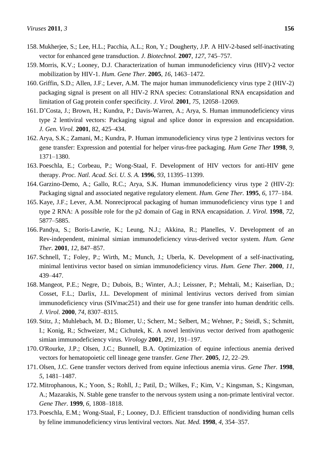- 159. Morris, K.V.; Looney, D.J. Characterization of human immunodeficiency virus (HIV)-2 vector mobilization by HIV-1. *Hum. Gene Ther.* **2005**, *16*, 1463–1472.
- 160. Griffin, S.D.; Allen, J.F.; Lever, A.M. The major human immunodeficiency virus type 2 (HIV-2) packaging signal is present on all HIV-2 RNA species: Cotranslational RNA encapsidation and limitation of Gag protein confer specificity. *J. Virol.* **2001**, *75*, 12058–12069.
- 161. D'Costa, J.; Brown, H.; Kundra, P.; Davis-Warren, A.; Arya, S. Human immunodeficiency virus type 2 lentiviral vectors: Packaging signal and splice donor in expression and encapsidation. *J. Gen. Virol.* **2001**, 82, 425–434.
- 162. Arya, S.K.; Zamani, M.; Kundra, P. Human immunodeficiency virus type 2 lentivirus vectors for gene transfer: Expression and potential for helper virus-free packaging. *Hum Gene Ther* **1998**, *9*, 1371–1380.
- 163. Poeschla, E.; Corbeau, P.; Wong-Staal, F. Development of HIV vectors for anti-HIV gene therapy. *Proc. Natl. Acad. Sci. U. S. A.* **1996**, *93*, 11395–11399.
- 164. Garzino-Demo, A.; Gallo, R.C.; Arya, S.K. Human immunodeficiency virus type 2 (HIV-2): Packaging signal and associated negative regulatory element. *Hum. Gene Ther.* **1995**, *6*, 177–184.
- 165. Kaye, J.F.; Lever, A.M. Nonreciprocal packaging of human immunodeficiency virus type 1 and type 2 RNA: A possible role for the p2 domain of Gag in RNA encapsidation. *J. Virol.* **1998**, *72*, 5877–5885.
- 166. Pandya, S.; Boris-Lawrie, K.; Leung, N.J.; Akkina, R.; Planelles, V. Development of an Rev-independent, minimal simian immunodeficiency virus-derived vector system. *Hum. Gene Ther.* **2001**, *12*, 847–857.
- 167. Schnell, T.; Foley, P.; Wirth, M.; Munch, J.; Uberla, K. Development of a self-inactivating, minimal lentivirus vector based on simian immunodeficiency virus. *Hum. Gene Ther.* **2000**, *11*, 439–447.
- 168. Mangeot, P.E.; Negre, D.; Dubois, B.; Winter, A.J.; Leissner, P.; Mehtali, M.; Kaiserlian, D.; Cosset, F.L.; Darlix, J.L. Development of minimal lentivirus vectors derived from simian immunodeficiency virus (SIVmac251) and their use for gene transfer into human dendritic cells. *J. Virol.* **2000**, *74*, 8307–8315.
- 169. Stitz, J.; Muhlebach, M. D.; Blomer, U.; Scherr, M.; Selbert, M.; Wehner, P.; Steidl, S.; Schmitt, I.; Konig, R.; Schweizer, M.; Cichutek, K. A novel lentivirus vector derived from apathogenic simian immunodeficiency virus. *Virology* **2001**, *291*, 191–197.
- 170. O'Rourke, J.P.; Olsen, J.C.; Bunnell, B.A. Optimization of equine infectious anemia derived vectors for hematopoietic cell lineage gene transfer. *Gene Ther.* **2005**, *12*, 22–29.
- 171. Olsen, J.C. Gene transfer vectors derived from equine infectious anemia virus. *Gene Ther.* **1998**, *5*, 1481–1487.
- 172. Mitrophanous, K.; Yoon, S.; Rohll, J.; Patil, D.; Wilkes, F.; Kim, V.; Kingsman, S.; Kingsman, A.; Mazarakis, N. Stable gene transfer to the nervous system using a non-primate lentiviral vector. *Gene Ther.* **1999**, *6*, 1808–1818.
- 173. Poeschla, E.M.; Wong-Staal, F.; Looney, D.J. Efficient transduction of nondividing human cells by feline immunodeficiency virus lentiviral vectors. *Nat. Med.* **1998**, *4*, 354–357.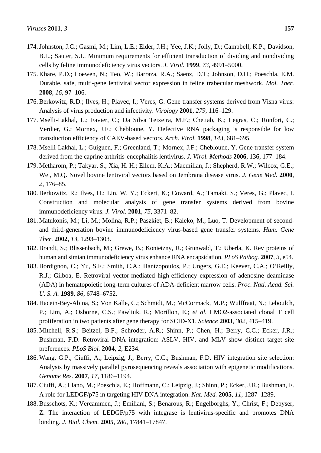- 174.Johnston, J.C.; Gasmi, M.; Lim, L.E.; Elder, J.H.; Yee, J.K.; Jolly, D.; Campbell, K.P.; Davidson, B.L.; Sauter, S.L. Minimum requirements for efficient transduction of dividing and nondividing cells by feline immunodeficiency virus vectors. *J. Virol.* **1999**, *73*, 4991–5000.
- 175. Khare, P.D.; Loewen, N.; Teo, W.; Barraza, R.A.; Saenz, D.T.; Johnson, D.H.; Poeschla, E.M. Durable, safe, multi-gene lentiviral vector expression in feline trabecular meshwork. *Mol. Ther.* **2008**, *16*, 97–106.
- 176. Berkowitz, R.D.; Ilves, H.; Plavec, I.; Veres, G. Gene transfer systems derived from Visna virus: Analysis of virus production and infectivity. *Virology* **2001**, *279*, 116–129.
- 177. Mselli-Lakhal, L.; Favier, C.; Da Silva Teixeira, M.F.; Chettab, K.; Legras, C.; Ronfort, C.; Verdier, G.; Mornex, J.F.; Chebloune, Y. Defective RNA packaging is responsible for low transduction efficiency of CAEV-based vectors. *Arch. Virol.* **1998**, *143*, 681–695.
- 178. Mselli-Lakhal, L.; Guiguen, F.; Greenland, T.; Mornex, J.F.; Chebloune, Y. Gene transfer system derived from the caprine arthritis-encephalitis lentivirus. *J. Virol. Methods* **2006**, 136, 177–184.
- 179. Metharom, P.; Takyar, S.; Xia, H. H.; Ellem, K.A.; Macmillan, J.; Shepherd, R.W.; Wilcox, G.E.; Wei, M.Q. Novel bovine lentiviral vectors based on Jembrana disease virus. *J. Gene Med.* **2000**, *2*, 176–85.
- 180. Berkowitz, R.; Ilves, H.; Lin, W. Y.; Eckert, K.; Coward, A.; Tamaki, S.; Veres, G.; Plavec, I. Construction and molecular analysis of gene transfer systems derived from bovine immunodeficiency virus. *J. Virol.* **2001**, *75*, 3371–82.
- 181. Matukonis, M.; Li, M.; Molina, R.P.; Paszkiet, B.; Kaleko, M.; Luo, T. Development of secondand third-generation bovine immunodeficiency virus-based gene transfer systems. *Hum. Gene Ther.* **2002**, *13*, 1293–1303.
- 182. Brandt, S.; Blissenbach, M.; Grewe, B.; Konietzny, R.; Grunwald, T.; Uberla, K. Rev proteins of human and simian immunodeficiency virus enhance RNA encapsidation. *PLoS Pathog.* **2007**, *3*, e54.
- 183. Bordignon, C.; Yu, S.F.; Smith, C.A.; Hantzopoulos, P.; Ungers, G.E.; Keever, C.A.; O'Reilly, R.J.; Gilboa, E. Retroviral vector-mediated high-efficiency expression of adenosine deaminase (ADA) in hematopoietic long-term cultures of ADA-deficient marrow cells. *Proc. Natl. Acad. Sci. U. S. A.* **1989**, *86*, 6748–6752.
- 184. Hacein-Bey-Abina, S.; Von Kalle, C.; Schmidt, M.; McCormack, M.P.; Wulffraat, N.; Leboulch, P.; Lim, A.; Osborne, C.S.; Pawliuk, R.; Morillon, E.; *et al.* LMO2-associated clonal T cell proliferation in two patients after gene therapy for SCID-X1. *Science* **2003**, *302*, 415–419.
- 185. Mitchell, R.S.; Beitzel, B.F.; Schroder, A.R.; Shinn, P.; Chen, H.; Berry, C.C.; Ecker, J.R.; Bushman, F.D. Retroviral DNA integration: ASLV, HIV, and MLV show distinct target site preferences. *PLoS Biol.* **2004**, *2*, E234.
- 186. Wang, G.P.; Ciuffi, A.; Leipzig, J.; Berry, C.C.; Bushman, F.D. HIV integration site selection: Analysis by massively parallel pyrosequencing reveals association with epigenetic modifications. *Genome Res.* **2007**, *17*, 1186–1194.
- 187. Ciuffi, A.; Llano, M.; Poeschla, E.; Hoffmann, C.; Leipzig, J.; Shinn, P.; Ecker, J.R.; Bushman, F. A role for LEDGF/p75 in targeting HIV DNA integration. *Nat. Med.* **2005**, *11*, 1287–1289.
- 188. Busschots, K.; Vercammen, J.; Emiliani, S.; Benarous, R.; Engelborghs, Y.; Christ, F.; Debyser, Z. The interaction of LEDGF/p75 with integrase is lentivirus-specific and promotes DNA binding. *J. Biol. Chem.* **2005**, *280*, 17841–17847.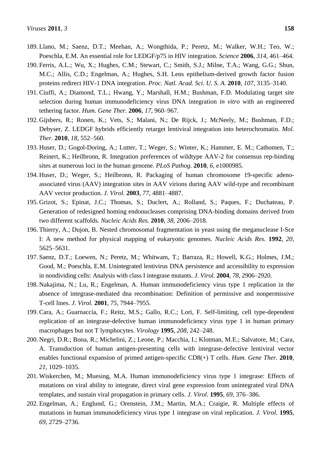- 189. Llano, M.; Saenz, D.T.; Meehan, A.; Wongthida, P.; Peretz, M.; Walker, W.H.; Teo, W.; Poeschla, E.M. An essential role for LEDGF/p75 in HIV integration. *Science* **2006**, *314*, 461–464.
- 190. Ferris, A.L.; Wu, X.; Hughes, C.M.; Stewart, C.; Smith, S.J.; Milne, T.A.; Wang, G.G.; Shun, M.C.; Allis, C.D.; Engelman, A.; Hughes, S.H. Lens epithelium-derived growth factor fusion proteins redirect HIV-1 DNA integration. *Proc. Natl. Acad. Sci. U. S. A.* **2010**, *107*, 3135–3140.
- 191. Ciuffi, A.; Diamond, T.L.; Hwang, Y.; Marshall, H.M.; Bushman, F.D. Modulating target site selection during human immunodeficiency virus DNA integration *in vitro* with an engineered tethering factor. *Hum. Gene Ther.* **2006**, *17*, 960–967.
- 192. Gijsbers, R.; Ronen, K.; Vets, S.; Malani, N.; De Rijck, J.; McNeely, M.; Bushman, F.D.; Debyser, Z. LEDGF hybrids efficiently retarget lentiviral integration into heterochromatin. *Mol. Ther.* **2010**, *18*, 552–560.
- 193. Huser, D.; Gogol-Doring, A.; Lutter, T.; Weger, S.; Winter, K.; Hammer, E. M.; Cathomen, T.; Reinert, K.; Heilbronn, R. Integration preferences of wildtype AAV-2 for consensus rep-binding sites at numerous loci in the human genome. *PLoS Pathog.* **2010**, *6*, e1000985.
- 194. Huser, D.; Weger, S.; Heilbronn, R. Packaging of human chromosome 19-specific adenoassociated virus (AAV) integration sites in AAV virions during AAV wild-type and recombinant AAV vector production. *J. Virol.* **2003**, *77*, 4881–4887.
- 195. Grizot, S.; Epinat, J.C.; Thomas, S.; Duclert, A.; Rolland, S.; Paques, F.; Duchateau, P. Generation of redesigned homing endonucleases comprising DNA-binding domains derived from two different scaffolds. *Nucleic Acids Res.* **2010**, *38*, 2006–2018.
- 196. Thierry, A.; Dujon, B. Nested chromosomal fragmentation in yeast using the meganuclease I-Sce I: A new method for physical mapping of eukaryotic genomes. *Nucleic Acids Res.* **1992**, *20*, 5625–5631.
- 197. Saenz, D.T.; Loewen, N.; Peretz, M.; Whitwam, T.; Barraza, R.; Howell, K.G.; Holmes, J.M.; Good, M.; Poeschla, E.M. Unintegrated lentivirus DNA persistence and accessibility to expression in nondividing cells: Analysis with class I integrase mutants. *J. Virol.* **2004**, *78*, 2906–2920.
- 198. Nakajima, N.; Lu, R.; Engelman, A. Human immunodeficiency virus type 1 replication in the absence of integrase-mediated dna recombination: Definition of permissive and nonpermissive T-cell lines. *J. Virol.* **2001**, *75*, 7944–7955.
- 199. Cara, A.; Guarnaccia, F.; Reitz, M.S.; Gallo, R.C.; Lori, F. Self-limiting, cell type-dependent replication of an integrase-defective human immunodeficiency virus type 1 in human primary macrophages but not T lymphocytes. *Virology* **1995**, *208*, 242–248.
- 200. Negri, D.R.; Bona, R.; Michelini, Z.; Leone, P.; Macchia, I.; Klotman, M.E.; Salvatore, M.; Cara, A. Transduction of human antigen-presenting cells with integrase-defective lentiviral vector enables functional expansion of primed antigen-specific CD8(+) T cells. *Hum. Gene Ther.* **2010**, *21*, 1029–1035.
- 201. Wiskerchen, M.; Muesing, M.A. Human immunodeficiency virus type 1 integrase: Effects of mutations on viral ability to integrate, direct viral gene expression from unintegrated viral DNA templates, and sustain viral propagation in primary cells. *J. Virol.* **1995**, *69*, 376–386.
- 202. Engelman, A.; Englund, G.; Orenstein, J.M.; Martin, M.A.; Craigie, R. Multiple effects of mutations in human immunodeficiency virus type 1 integrase on viral replication. *J. Virol.* **1995**, *69*, 2729–2736.